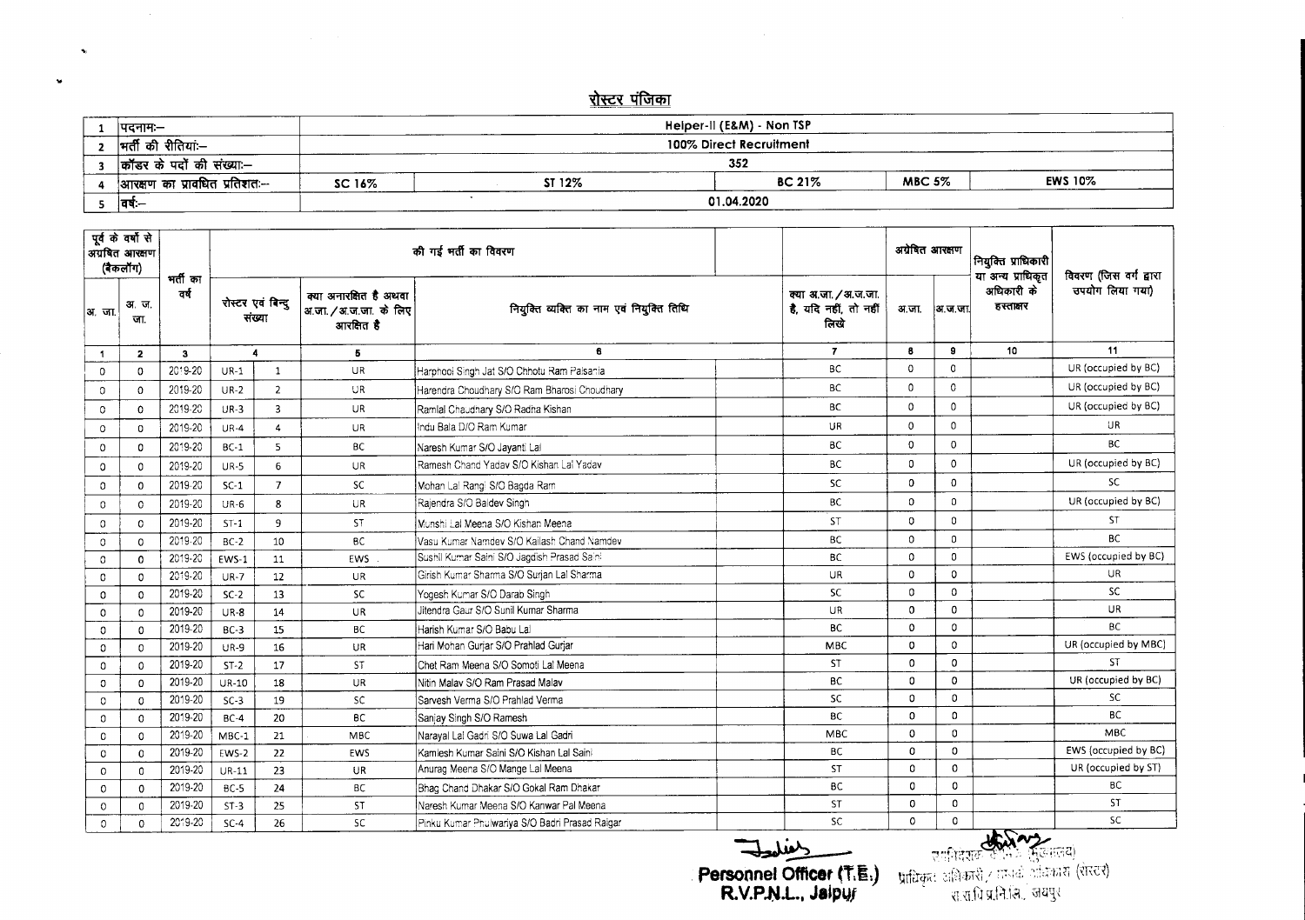## <u>रोस्टर पंजिका</u>

| ।पदनामः—                      |        |        | Heiper-II (E&M) - Non TSP |               |                |  |
|-------------------------------|--------|--------|---------------------------|---------------|----------------|--|
| मर्ती की रीतियां:—            |        |        | 100% Direct Recruitment   |               |                |  |
| कॉंडर के पदों की संख्या:—     |        |        | 352                       |               |                |  |
| आरक्षण का प्रावधित प्रतिशतः-- | SC 16% | ST 12% | <b>BC 21%</b>             | <b>MBC 5%</b> | <b>EWS 10%</b> |  |
| - ।वर्षः—                     |        |        | 01.04.2020                |               |                |  |

|               | पूर्व के वर्षों से<br>अग्रबित आरक्षण<br>(बैकलॉग) | भर्ती का |                  |                             |                                                              | की गई भर्ती का विवरण                           |                                                       |              | अयेबित आरक्षण<br>नियुक्ति प्राधिकारी<br>या अन्य प्राधिकृत<br>अधिकारी के<br>हस्तालर<br> अ.ज.जा |       | विवरण (जिस वर्ग द्वारा |
|---------------|--------------------------------------------------|----------|------------------|-----------------------------|--------------------------------------------------------------|------------------------------------------------|-------------------------------------------------------|--------------|-----------------------------------------------------------------------------------------------|-------|------------------------|
| अ.जा.         | अ.ज.<br>जा                                       | वर्ष     |                  | रोस्टर एवं बिन्दू<br>संख्या | क्या अनारक्षित है अथवा<br>अ.जा./अ.ज.जा. के लिए<br>आरक्षित है | नियुक्ति व्यक्ति का नाम एवं नियुक्ति तिथि      | क्या अ.जा. / अ.ज.जा.<br>है, यदि नहीं, तो नहीं<br>लिखे | अ.जा.        |                                                                                               |       | उपयोग लिया गया)        |
| -1            | $\mathbf{z}$                                     | 3        | $\blacktriangle$ |                             | 5                                                            | 6                                              | $\overline{7}$                                        | 8            | 9                                                                                             | 10    | 11                     |
| $\Omega$      | $\Omega$                                         | 2019-20  | $UR-1$           | 1                           | <b>UR</b>                                                    | Harphool Singh Jat S/O Chhotu Ram Palsania     | <b>BC</b>                                             | $\mathbf 0$  | $\mathbf{0}$                                                                                  |       | UR (occupied by BC)    |
| $\Omega$      | $\Omega$                                         | 2019-20  | $UR-2$           | $\overline{2}$              | <b>UR</b>                                                    | Harendra Choudhary S/O Ram Bharosi Choudhary   | BC                                                    | 0            | $\Omega$                                                                                      |       | UR (occupied by BC)    |
| 0             | 0                                                | 2019-20  | $UR-3$           | $\overline{3}$              | <b>UR</b>                                                    | Ramlal Chaudhary S/O Radha Kishan              | <b>BC</b>                                             | 0            | $\mathbf{0}$                                                                                  |       | UR (occupied by BC)    |
| 0             | $\Omega$                                         | 2019-20  | $UR-4$           | $\overline{4}$              | UR.                                                          | Indu Bala D/O Ram Kumar                        | UR                                                    | $\mathbf 0$  | 0                                                                                             |       | UR.                    |
| $\Omega$      | $\Omega$                                         | 2019-20  | $BC-1$           | 5                           | BC                                                           | Naresh Kumar S/O Javanti Lal                   | <b>BC</b>                                             | 0            | $\mathbf 0$                                                                                   |       | <b>BC</b>              |
| 0             | $\Omega$                                         | 2019-20  | $UR-5$           | 6                           | <b>UR</b>                                                    | Ramesh Chand Yaday S/O Kishan Lal Yaday        | <b>BC</b>                                             | 0            | $\Omega$                                                                                      |       | UR (occupied by BC)    |
| 0             | $\Omega$                                         | 2019-20  | $SC-1$           | $\overline{7}$              | SC                                                           | Mohan Lal Rangi S/O Bagda Ram                  | SC                                                    | $\Omega$     | $\Omega$                                                                                      |       | <b>SC</b>              |
| $\circ$       | $\circ$                                          | 2019-20  | UR-6             | 8                           | UR.                                                          | Rajendra S/O Baldev Singh                      | <b>BC</b>                                             | $\mathbf{O}$ | $\mathbf 0$                                                                                   |       | UR (occupied by BC)    |
| $\circ$       | $\Omega$                                         | 2019-20  | $ST-1$           | 9                           | <b>ST</b>                                                    | Munshi Lai Meena S/O Kishan Meena              | <b>ST</b>                                             | $\mathbf 0$  | $\Omega$                                                                                      |       | <b>ST</b>              |
| $\circ$       | $\circ$                                          | 2019-20  | $BC-2$           | 10                          | <b>BC</b>                                                    | Vasu Kumar Namdev S/O Kailash Chand Namdev     | <b>BC</b>                                             | $\Omega$     | $\mathbf{0}$                                                                                  |       | <b>BC</b>              |
| $\circ$       | $\mathbf{0}$                                     | 2019-20  | <b>EWS-1</b>     | 11                          | EWS                                                          | Sushil Kumar Saini S/O Jagdish Prasad Saini    | <b>BC</b>                                             | $\Omega$     | $\Omega$                                                                                      |       | EWS (occupied by BC)   |
| $\mathbf 0$   | 0                                                | 2019-20  | $UR-7$           | $12 \overline{ }$           | UR                                                           | Girish Kumar Sharma S/O Surian Lal Sharma      | UR                                                    | $\mathbf 0$  | $\mathbf 0$                                                                                   |       | UR                     |
| $\mathbf 0$   | $\Omega$                                         | 2019-20  | $SC-2$           | 13                          | SC                                                           | Yogesh Kumar S/O Darab Singh                   | <b>SC</b>                                             | 0            | $\Omega$                                                                                      |       | <b>SC</b>              |
| $\mathbf 0$   | $\Omega$                                         | 2019-20  | $UR-8$           | 14                          | <b>UR</b>                                                    | Jitendra Gaur S/O Sunil Kumar Sharma           | UR                                                    | $\mathbf 0$  | $\Omega$                                                                                      |       | <b>UR</b>              |
| $\mathbf 0$   | 0                                                | 2019-20  | $BC-3$           | 15                          | BC                                                           | Harish Kumar S/O Babu Lal                      | <b>BC</b>                                             | $\Omega$     | 0                                                                                             |       | <b>BC</b>              |
| 0             | $\Omega$                                         | 2019-20  | $UR-9$           | 16                          | UR                                                           | Hari Mohan Guriar S/O Prahlad Guriar           | <b>MBC</b>                                            | $\Omega$     | $\Omega$                                                                                      |       | UR (occupied by MBC)   |
| $\mathbf{0}$  | $\Omega$                                         | 2019-20  | $ST-2$           | 17                          | <b>ST</b>                                                    | Chet Ram Meena S/O Somoti Lai Meena            | <b>ST</b>                                             | $\mathbf 0$  | $\mathbf 0$                                                                                   |       | <b>ST</b>              |
| $\mathbf{0}$  | $\Omega$                                         | 2019-20  | $UR-10$          | 18                          | UR                                                           | Nitin Malay S/O Ram Prasad Malay               | BC                                                    | 0            | 0                                                                                             |       | UR (occupied by BC)    |
| $\Omega$      | 0                                                | 2019-20  | $SC-3$           | 19                          | <b>SC</b>                                                    | Sarvesh Verma S/O Prahlad Verma                | <b>SC</b>                                             | 0            | $\mathbf 0$                                                                                   |       | SC.                    |
| $\mathfrak o$ | $\mathbf 0$                                      | 2019-20  | $BC-4$           | 20                          | BС                                                           | Sanjay Singh S/O Ramesh                        | <b>BC</b>                                             | $\Omega$     | $\Omega$                                                                                      |       | <b>BC</b>              |
| 0             | 0                                                | 2019-20  | $MBC-1$          | 21                          | <b>MBC</b>                                                   | Narayal Lal Gadri S/O Suwa Lal Gadri           | <b>MBC</b>                                            | $\Omega$     | $\Omega$                                                                                      |       | MBC                    |
| $\Omega$      | $\mathbf{0}$                                     | 2019-20  | EWS-2            | 22                          | <b>EWS</b>                                                   | Kamlesh Kumar Saini S/O Kishan Lal Saini       | <b>BC</b>                                             | $\Omega$     | $\mathbf 0$                                                                                   |       | EWS (occupied by BC)   |
| $\Omega$      | $\Omega$                                         | 2019-20  | <b>UR-11</b>     | 23                          | UR                                                           | Anurag Meena S/O Mange Lal Meena               | <b>ST</b>                                             | 0            | $\Omega$                                                                                      |       | UR (occupied by ST)    |
| $\Omega$      | $\Omega$                                         | 2019-20  | $BC-5$           | 24                          | BC                                                           | Bhag Chand Dhakar S/O Gokal Ram Dhakar         | <b>BC</b>                                             | $\Omega$     | $\Omega$                                                                                      |       | BC                     |
| $\circ$       | $\mathbf 0$                                      | 2019-20  | $ST-3$           | 25                          | ST                                                           | Naresh Kumar Meena S/O Kanwar Pal Meena        | <b>ST</b>                                             | $\mathbf 0$  | $\mathbf 0$                                                                                   |       | ST                     |
| $\Omega$      | $\Omega$                                         | 2019-20  | $SC-4$           | 26                          | <b>SC</b>                                                    | Pinku Kumar Phulwariya S/O Badri Prasad Raigar | <b>SC</b>                                             | $\mathbf 0$  | $\mathbf 0$                                                                                   |       | <b>SC</b>              |
|               |                                                  |          |                  |                             |                                                              |                                                | $\rightarrow$ $\cdots$                                |              |                                                                                               | there |                        |

~ **. Personnel Officer (l~:) R V.P.Nol.. JaipYI**

-~~ **-** *...".r* ' .:r\_"'j:-;-.-:~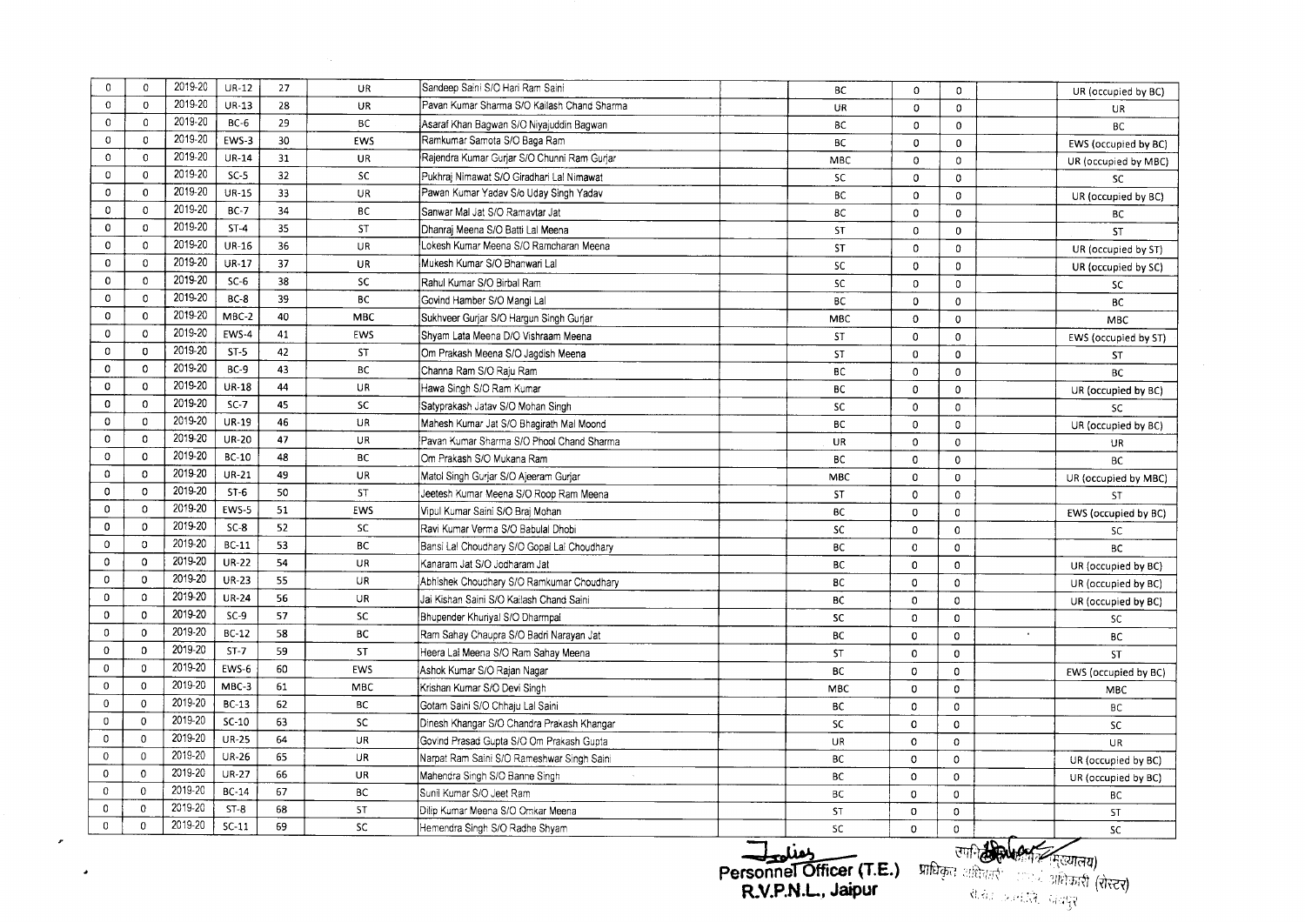| $\mathbf 0$  | $\mathbf{O}$ | 2019-20 | <b>UR-12</b> | 27 | UR         | Sandeep Saini S/O Hari Ram Saini                              | BC                     | 0                           | 0                       | UR (occupied by BC)  |
|--------------|--------------|---------|--------------|----|------------|---------------------------------------------------------------|------------------------|-----------------------------|-------------------------|----------------------|
| 0            | $\mathbf{o}$ | 2019-20 | UR-13        | 28 | UR         | Pavan Kumar Sharma S/O Kailash Chand Sharma                   | UR                     | 0                           | $\Omega$                | UR                   |
| $\mathsf{O}$ | 0            | 2019-20 | $BC-6$       | 29 | <b>BC</b>  | Asaraf Khan Bagwan S/O Niyajuddin Bagwan                      | <b>BC</b>              | 0                           | 0                       | <b>BC</b>            |
| 0            | $\mathbf 0$  | 2019-20 | EWS-3        | 30 | EWS        | Ramkumar Samota S/O Baga Ram                                  | ВC                     | 0                           | 0                       | EWS (occupied by BC) |
| $\mathbf 0$  | $\mathbf{0}$ | 2019-20 | $UR-14$      | 31 | <b>UR</b>  | Rajendra Kumar Gurjar S/O Chunni Ram Gurjar                   | MBC                    | 0                           | $\Omega$                | UR (occupied by MBC) |
| 0            | $\mathbf 0$  | 2019-20 | $SC-5$       | 32 | SC         | Pukhraj Nimawat S/O Giradhari Lal Nimawat                     | SC.                    | 0                           | $\mathbf 0$             | <b>SC</b>            |
| 0            | 0            | 2019-20 | <b>UR-15</b> | 33 | UR         | Pawan Kumar Yadav S/o Uday Singh Yadav                        | <b>BC</b>              | $\Omega$                    | $\mathbf 0$             | UR (occupied by BC)  |
| $\mathbf 0$  | 0            | 2019-20 | <b>BC-7</b>  | 34 | BC         | Sanwar Mal Jat S/O Ramaytar Jat                               | <b>BC</b>              | $\mathbf{0}$                | $\mathbf 0$             | BC                   |
| 0            | $\Omega$     | 2019-20 | $ST-4$       | 35 | <b>ST</b>  | Dhanrai Meena S/O Batti Lal Meena                             | <b>ST</b>              | $\mathbf{o}$                | $\mathbf 0$             | ST                   |
| $\Omega$     | $\mathbf 0$  | 2019-20 | <b>UR-16</b> | 36 | UR         | Lokesh Kumar Meena S/O Ramcharan Meena                        | <b>ST</b>              | $\mathbf{O}$                | 0                       | UR (occupied by ST)  |
| $\mathbf 0$  | $\Omega$     | 2019-20 | <b>UR-17</b> | 37 | UR         | Mukesh Kumar S/O Bhanwari Lal                                 | SC                     | $\mathbf{o}$                | 0                       | UR (occupied by SC)  |
| $\mathbf 0$  | $\Omega$     | 2019-20 | $SC-6$       | 38 | SC         | Rahul Kumar S/O Birbal Ram                                    | SC                     | $\mathbf 0$                 | $\Omega$                | SC.                  |
| $\Omega$     | $\Omega$     | 2019-20 | $BC-8$       | 39 | BC         | Govind Hamber S/O Mangi Lal                                   | BC                     | 0                           | 0                       | <b>BC</b>            |
| $\mathbf 0$  | $\mathbf{0}$ | 2019-20 | MBC-2        | 40 | <b>MBC</b> | Sukhveer Gurjar S/O Hargun Singh Gurjar                       | <b>MBC</b>             | $\mathbf 0$                 | 0                       | <b>MBC</b>           |
| $\mathbf 0$  | $\mathbf 0$  | 2019-20 | EWS-4        | 41 | EWS        | Shyam Lata Meena D/O Vishraam Meena                           | <b>ST</b>              | 0                           | 0                       | EWS (occupied by ST) |
| $\mathbf{0}$ | $\mathbf 0$  | 2019-20 | $ST-5$       | 42 | ST         | Om Prakash Meena S/O Jagdish Meena                            | ST                     | 0                           | 0                       | <b>ST</b>            |
| $\mathbf 0$  | $\mathbf{0}$ | 2019-20 | $BC-9$       | 43 | ВC         | Channa Ram S/O Raju Ram                                       | <b>BC</b>              | 0                           | 0                       | <b>BC</b>            |
| $\mathbf 0$  | $\mathbf 0$  | 2019-20 | <b>UR-18</b> | 44 | UR         | Hawa Singh S/O Ram Kumar                                      | BC                     | $\mathbf{0}$                | 0                       | UR (occupied by BC)  |
| $\mathbf 0$  | $\mathbf{0}$ | 2019-20 | $SC-7$       | 45 | <b>SC</b>  | Satyprakash Jatav S/O Mohan Singh                             | <b>SC</b>              | 0                           | 0                       | <b>SC</b>            |
| $\mathbf 0$  | $\mathbf{0}$ | 2019-20 | <b>UR-19</b> | 46 | UR         | Mahesh Kumar Jat S/O Bhagirath Mal Moond                      | BС                     | 0                           | 0                       | UR (occupied by BC)  |
| $\mathbf 0$  | $\mathbf 0$  | 2019-20 | <b>UR-20</b> | 47 | <b>UR</b>  | Pavan Kumar Sharma S/O Phool Chand Sharma                     | <b>UR</b>              | 0                           | $\mathbf 0$             | UR                   |
| $\mathbf 0$  | $\mathbf 0$  | 2019-20 | <b>BC-10</b> | 48 | <b>BC</b>  | Om Prakash S/O Mukana Ram                                     | <b>BC</b>              | $\mathbf 0$                 | $\mathbf 0$             | <b>BC</b>            |
| $\mathbf 0$  | 0            | 2019-20 | <b>UR-21</b> | 49 | <b>UR</b>  | Matol Singh Guriar S/O Ajeeram Guriar                         | <b>MBC</b>             | $\Omega$                    | 0                       | UR (occupied by MBC) |
| $\circ$      | $\mathbf 0$  | 2019-20 | $ST-6$       | 50 | ST         | Jeetesh Kumar Meena S/O Roop Ram Meena                        | ST                     | $\mathbf 0$                 | $\Omega$                | ST                   |
| $\mathbf 0$  | $\mathbf 0$  | 2019-20 | EWS-5        | 51 | EWS        | Vipul Kumar Saini S/O Brai Mohan                              | <b>BC</b>              | $\mathbf{0}$                | $\Omega$                | EWS (occupied by BC) |
| $\mathbf 0$  | $\mathbf 0$  | 2019-20 | $SC-8$       | 52 | <b>SC</b>  | Ravi Kumar Verma S/O Babulal Dhobi                            | <b>SC</b>              | $\Omega$                    | $\Omega$                | SC                   |
| $\mathbf 0$  | $\mathbf 0$  | 2019-20 | $BC-11$      | 53 | ВC         | Bansi Lal Choudhary S/O Gopai Lal Choudhary                   | <b>BC</b>              | $\mathbf 0$                 | $\mathbf 0$             | BC                   |
| $\mathbf 0$  | $\mathbf 0$  | 2019-20 | <b>UR-22</b> | 54 | UR         | Kanaram Jat S/O Jodharam Jat                                  | BC                     | $\Omega$                    | $\mathbf 0$             | UR (occupied by BC)  |
| $\mathbf 0$  | $\mathbf 0$  | 2019-20 | <b>UR-23</b> | 55 | UR         | Abhishek Choudhary S/O Ramkumar Choudhary                     | <b>BC</b>              | 0                           | $\Omega$                | UR (occupied by BC)  |
| $\Omega$     | $\Omega$     | 2019-20 | <b>UR-24</b> | 56 | UR         | Jai Kishan Saini S/O Kailash Chand Saini                      | BC                     | $\mathbf 0$                 | $\mathbf{0}$            | UR (occupied by BC)  |
| $\mathbf 0$  | $\mathbf{0}$ | 2019-20 | $SC-9$       | 57 | SC         | Bhupender Khuriyal S/O Dharmpal                               | SC                     | $\Omega$                    | $\mathbf 0$             | <b>SC</b>            |
| $\mathbf 0$  | $\mathbf 0$  | 2019-20 | <b>BC-12</b> | 58 | BC         | Ram Sahay Chaupra S/O Badri Narayan Jat                       | <b>BC</b>              | 0                           | $\mathbf 0$             | ВC                   |
| $\mathbf 0$  | $\Omega$     | 2019-20 | $ST-7$       | 59 | ST         | Heera Lal Meena S/O Ram Sahay Meena                           | <b>ST</b>              | $\mathbf 0$                 | $\mathbf 0$             | <b>ST</b>            |
| $\Omega$     | $\mathbf 0$  | 2019-20 | EWS-6        | 60 | EWS        | Ashok Kumar S/O Rajan Nagar                                   | <b>BC</b>              | 0                           | $\mathbf 0$             |                      |
| $\mathbf 0$  | $\mathbf 0$  | 2019-20 | MBC-3        | 61 | MBC        | Krishan Kumar S/O Devi Singh                                  | <b>MBC</b>             | $\mathbf{0}$                | $\mathbf 0$             | EWS (occupied by BC) |
| $\mathbf 0$  | $\mathbf 0$  | 2019-20 | $BC-13$      | 62 | ВC         | Gotam Saini S/O Chhaju Lal Saini                              | BС                     | 0                           | $\mathbf 0$             | <b>MBC</b>           |
| $\mathbf 0$  | $\mathbf 0$  | 2019-20 | $SC-10$      | 63 | <b>SC</b>  | Dinesh Khangar S/O Chandra Prakash Khangar                    | <b>SC</b>              | $\mathbf 0$                 | $\mathbf 0$             | ВC                   |
| $\mathbf 0$  | $\mathbf{0}$ | 2019-20 | <b>UR-25</b> | 64 | <b>UR</b>  | Govind Prasad Gupta S/O Om Prakash Gupta                      | UR                     | $\mathbf 0$                 | $\mathbf 0$             | SC                   |
| $\mathbf 0$  | $\mathbf 0$  | 2019-20 | <b>UR-26</b> | 65 | UR         | Narpat Ram Saini S/O Rameshwar Singh Saini                    |                        | $\mathbf 0$                 |                         | <b>UR</b>            |
| 0            | $\mathbf 0$  | 2019-20 | <b>UR-27</b> | 66 | <b>UR</b>  |                                                               | <b>BC</b>              |                             | $\mathbf 0$             | UR (occupied by BC)  |
| 0            | 0            | 2019-20 | $BC-14$      | 67 | BC         | Mahendra Singh S/O Banne Singh                                | BC<br><b>BC</b>        | $\mathbf 0$<br>$\mathbf{0}$ | $\mathbf 0$<br>$\Omega$ | UR (occupied by BC)  |
|              | 0            | 2019-20 | $ST-8$       | 68 | ST         | Sunil Kumar S/O Jeet Ram<br>Dilip Kumar Meena S/O Omkar Meena |                        |                             |                         | BC                   |
| 0            |              | 2019-20 | $SC-11$      | 69 | SC         | Hemendra Singh S/O Radhe Shyam                                | <b>ST</b><br><b>SC</b> | $\mathbf 0$<br>$\Omega$     | $\mathbf 0$             | ST<br><b>SC</b>      |

**Personnel Officer (T.E.) - प्राधिकृत अक्षित्वन्त**ः । **R.V.P.N.L. Jaipur** <1,;

 $\sim 400$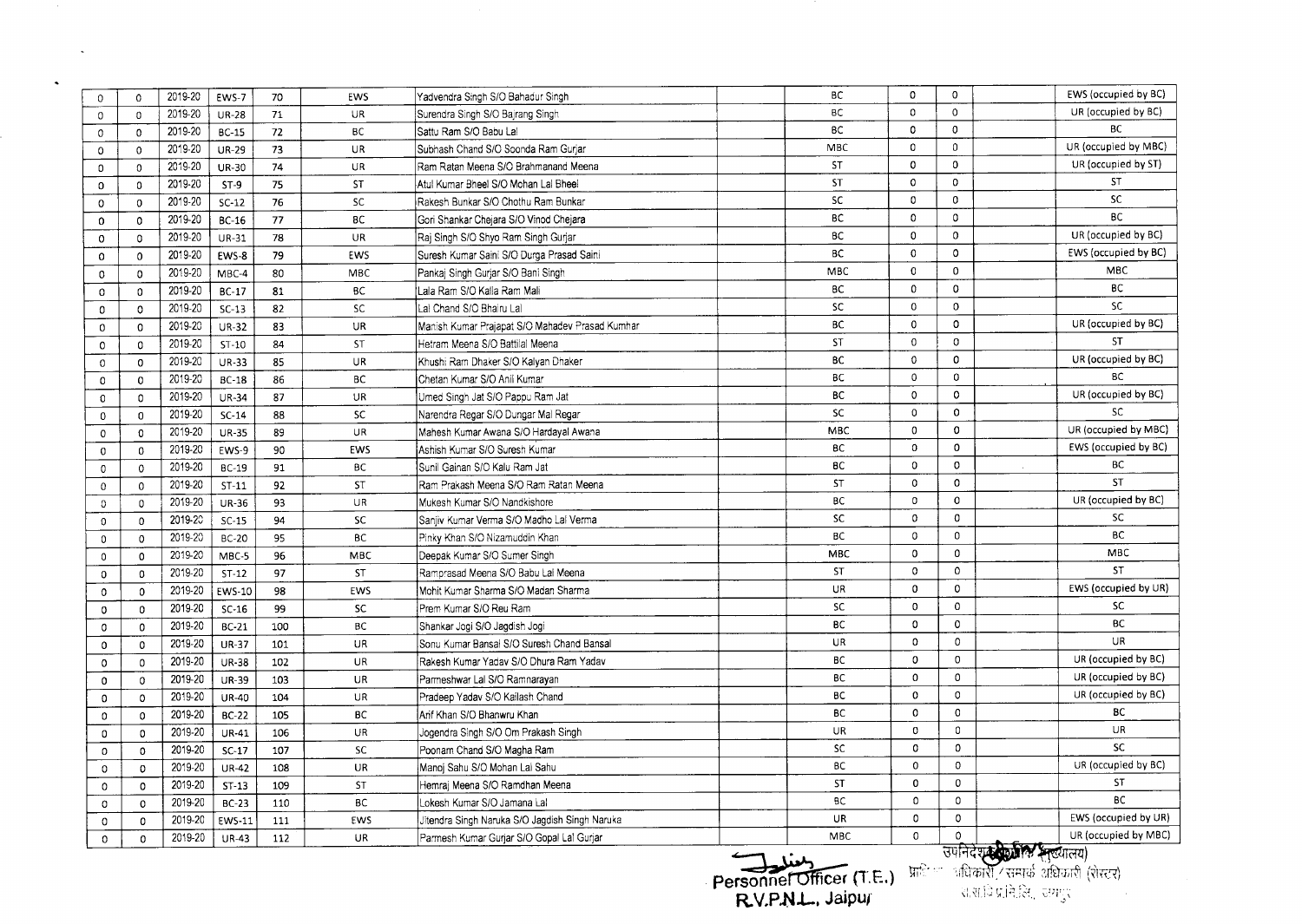| $\mathbf 0$  | $\circ$        | 2019-20 | EWS-7         | 70  | EWS        | Yadvendra Singh S/O Bahadur Singh               | ВC                        | 0            | $\mathbf 0$  | EWS (occupied by BC)       |
|--------------|----------------|---------|---------------|-----|------------|-------------------------------------------------|---------------------------|--------------|--------------|----------------------------|
| $\mathbf 0$  | $\Omega$       | 2019-20 | <b>UR-28</b>  | 71  | UR         | Surendra Singh S/O Bajrang Singh                | ВC                        | $\circ$      | $\Omega$     | UR (occupied by BC)        |
| 0            | $\mathbf 0$    | 2019-20 | <b>BC-15</b>  | 72  | <b>BC</b>  | Sattu Ram S/O Babu Lal                          | BC                        | $\mathbf 0$  | 0            | BC.                        |
| $\mathbf 0$  | $\Omega$       | 2019-20 | <b>UR-29</b>  | 73  | UR         | Subhash Chand S/O Soonda Ram Gurjar             | MBC                       | 0            | 0            | UR (occupied by MBC)       |
| 0            | $\Omega$       | 2019-20 | <b>UR-30</b>  | 74  | UR.        | Ram Ratan Meena S/O Brahmanand Meena            | <b>ST</b>                 | 0            | $\mathbf 0$  | UR (occupied by ST)        |
| $\mathbf 0$  | $\mathbf{0}$   | 2019-20 | $ST-9$        | 75  | ST         | Atul Kumar Bheel S/O Mohan Lal Bheel            | ST                        | $\mathbf 0$  | $\mathbf 0$  | ST                         |
| $\mathbf 0$  | $\Omega$       | 2019-20 | $SC-12$       | 76  | SC         | Rakesh Bunkar S/O Chothu Ram Bunkar             | <b>SC</b>                 | 0            | 0            | <b>SC</b>                  |
| $\Omega$     | $\mathbf 0$    | 2019-20 | BC-16         | 77  | <b>BC</b>  | Gori Shankar Chejara S/O Vinod Chejara          | BC                        | 0            | 0            | <b>BC</b>                  |
| 0            | $\Omega$       | 2019-20 | <b>UR-31</b>  | 78  | <b>UR</b>  | Raj Singh S/O Shyo Ram Singh Gurjar             | BC                        | 0            | $\mathbf{0}$ | UR (occupied by BC)        |
| $\mathbf 0$  | $\Omega$       | 2019-20 | EWS-8         | 79  | EWS        | Suresh Kumar Saini S/O Durga Prasad Saini       | BC                        | 0            | $\mathbf{o}$ | EWS (occupied by BC)       |
| $\mathbb O$  | 0              | 2019-20 | MBC-4         | 80  | <b>MBC</b> | Pankaj Singh Gurjar S/O Bani Singh              | <b>MBC</b>                | 0            | $\Omega$     | MBC                        |
| $\circ$      | 0              | 2019-20 | $BC-17$       | 81  | <b>BC</b>  | Lala Ram S/O Kalla Ram Mali                     | <b>BC</b>                 | $\mathbf{0}$ | 0            | BC                         |
| $\mathbf 0$  | $\mathbf{O}$   | 2019-20 | $SC-13$       | 82  | SC         | Lal Chand S/O Bhairu Lal                        | <b>SC</b>                 | $\mathbf 0$  | $\mathbf 0$  | SC                         |
| $\mathbf 0$  | $\mathbf 0$    | 2019-20 | <b>UR-32</b>  | 83  | UR         | Manish Kumar Prajapat S/O Mahadev Prasad Kumhar | BC                        | $\mathbf 0$  | $\circ$      | UR (occupied by BC)        |
| 0            | 0              | 2019-20 | $ST-10$       | 84  | ST         | Hetram Meena S/O Battilal Meena                 | ST                        | 0            | $\circ$      | <b>ST</b>                  |
| 0            | $\circ$        | 2019-20 | <b>UR-33</b>  | 85  | UR         | Khushi Ram Dhaker S/O Kalyan Dhaker             | <b>BC</b>                 | $\mathbf 0$  | $\mathbf 0$  | UR (occupied by BC)        |
| $\circ$      | $\mathbf 0$    | 2019-20 | <b>BC-18</b>  | 86  | BC         | Chetan Kumar S/O Anil Kumar                     | <b>BC</b>                 | $\Omega$     | $\mathbf 0$  | <b>BC</b>                  |
| $\mathbf 0$  | 0              | 2019-20 | <b>UR-34</b>  | 87  | UR         | Umed Singh Jat S/O Pappu Ram Jat                | BC                        | 0            | $\mathbf 0$  | UR (occupied by BC)        |
| $\mathbf{0}$ | $\overline{0}$ | 2019-20 | $SC-14$       | 88  | <b>SC</b>  | Narendra Regar S/O Dungar Mal Regar             | SC                        | 0            | $\mathbf 0$  | <b>SC</b>                  |
| 0            | 0              | 2019-20 | <b>UR-35</b>  | 89  | UR         | Mahesh Kumar Awana S/O Hardayal Awana           | MBC                       | $\pmb{0}$    | $\mathbf 0$  | UR (occupied by MBC)       |
| 0            | 0              | 2019-20 | EWS-9         | 90  | EWS        | Ashish Kumar S/O Suresh Kumar                   | <b>BC</b>                 | $\mathbf 0$  | $\mathbf 0$  | EWS (occupied by BC)       |
| 0            | $\mathbf 0$    | 2019-20 | BC-19         | 91  | <b>BC</b>  | Sunil Gainan S/O Kalu Ram Jat                   | <b>BC</b>                 | 0            | $\circ$      | ВC                         |
| $\mathbf 0$  | 0              | 2019-20 | $ST-11$       | 92  | ST         | Ram Prakash Meena S/O Ram Ratan Meena           | <b>ST</b>                 | 0            | $\circ$      | <b>ST</b>                  |
| $\circ$      | 0              | 2019-20 | <b>UR-36</b>  | 93  | UR         | Mukesh Kumar S/O Nandkishore                    | ВC                        | 0            | $\mathbf 0$  | UR (occupied by BC)        |
| 0            | $\Omega$       | 2019-20 | $SC-15$       | 94  | <b>SC</b>  | Sanjiv Kumar Verma S/O Madho Lai Verma          | SC                        | $\Omega$     | $\mathbf 0$  | <b>SC</b>                  |
| $\Omega$     | $\Omega$       | 2019-20 | <b>BC-20</b>  | 95  | <b>BC</b>  | Pinky Khan S/O Nizamuddin Khan                  | BC                        | 0            | $\mathbf{0}$ | BC                         |
| $\mathbf 0$  | $\Omega$       | 2019-20 | MBC-5         | 96  | MBC        | Deepak Kumar S/O Sumer Singh                    | MBC                       | $\mathbf 0$  | $\mathbf 0$  | MBC                        |
| $\Omega$     | $\Omega$       | 2019-20 | $ST-12$       | 97  | ST         | Ramorasad Meena S/O Babu Lal Meena              | <b>ST</b>                 | 0            | $\mathbf 0$  | ST                         |
| $\Omega$     | $\mathbf 0$    | 2019-20 | <b>EWS-10</b> | 98  | EWS        | Mohit Kumar Sharma S/O Madan Sharma             | UR                        | $\mathbf 0$  | $\mathbf{0}$ | EWS (occupied by UR)       |
| 0            | 0              | 2019-20 | $SC-16$       | 99  | <b>SC</b>  | Prem Kumar S/O Reu Ram                          | <b>SC</b>                 | 0            | $\mathbf 0$  | <b>SC</b>                  |
| 0            | 0              | 2019-20 | <b>BC-21</b>  | 100 | BC         | Shankar Jogi S/O Jagdish Jogi                   | <b>BC</b>                 | 0            | $\mathbf 0$  | <b>BC</b>                  |
| 0            | $\mathbf 0$    | 2019-20 | <b>UR-37</b>  | 101 | <b>UR</b>  | Sonu Kumar Bansal S/O Suresh Chand Bansal       | UR                        | $\Omega$     | 0            | UR                         |
| $\circ$      | $\mathbf 0$    | 2019-20 | <b>UR-38</b>  | 102 | UR         | Rakesh Kumar Yaday S/O Dhura Ram Yadav          | <b>BC</b>                 | 0            | 0            | UR (occupied by BC)        |
| 0            | $\mathbf 0$    | 2019-20 | <b>UR-39</b>  | 103 | UR.        | Parmeshwar Lal S/O Ramnarayan                   | BC                        | 0            | $\mathbf 0$  | UR (occupied by BC)        |
| 0            | $\mathbf{O}$   | 2019-20 | <b>UR-40</b>  | 104 | UR         | Pradeep Yadav S/O Kailash Chand                 | <b>BC</b>                 | $\Omega$     | 0            | UR (occupied by BC)        |
| $\Omega$     | $\mathbf{0}$   | 2019-20 | <b>BC-22</b>  | 105 | BC         | Arif Khan S/O Bhanwru Khan                      | <b>BC</b>                 | 0            | $\mathbf 0$  | BC                         |
| 0            | $\mathbf{0}$   | 2019-20 | UR-41         | 106 | UR         | Jogendra Singh S/O Om Prakash Singh             | UR                        | $\mathbf 0$  | 0            | UR                         |
| 0            | $\mathbf 0$    | 2019-20 | $SC-17$       | 107 | <b>SC</b>  | Poonam Chand S/O Magha Ram                      | <b>SC</b>                 | $\mathbf 0$  | $\Omega$     | <b>SC</b>                  |
| 0            | $\mathbf{0}$   | 2019-20 | <b>UR-42</b>  | 108 | UR         | Manoj Sahu S/O Mohan Lai Sahu                   | BC                        | $\mathbf 0$  | $\Omega$     | UR (occupied by BC)        |
| 0            | $\mathbf 0$    | 2019-20 | $ST-13$       | 109 | ST         | Hemraj Meena S/O Ramdhan Meena                  | ST                        | $\mathbf 0$  | $\mathbf 0$  | ST                         |
| $\Omega$     | $\mathbf 0$    | 2019-20 | <b>BC-23</b>  | 110 | ВC         | Lokesh Kumar S/O Jamana Lal                     | ВC                        | $\mathbf 0$  | $\Omega$     | <b>BC</b>                  |
| 0            | $\mathbf 0$    | 2019-20 | <b>EWS-11</b> | 111 | EWS        | Jitendra Singh Naruka S/O Jagdish Singh Naruka  | <b>UR</b>                 | $\mathbf 0$  | $\mathbf 0$  | EWS (occupied by UR)       |
| $\mathbf 0$  | $\Omega$       | 2019-20 | <b>UR-43</b>  | 112 | <b>UR</b>  | Parmesh Kumar Gurjar S/O Gopal Lal Gurjar       | <b>MBC</b>                | $\mathbf 0$  | $\circ$      | UR (occupied by MBC)       |
|              |                |         |               |     |            |                                                 | $\leftarrow$ $\leftarrow$ |              |              | उपनिदेशक के अन्य स्त्यालय) |

 $\sim$ 

 $\langle \bullet \rangle$ 

 $\mathcal{O}(\mathcal{O}_\mathcal{O})$  . The  $\mathcal{O}(\mathcal{O}_\mathcal{O})$ 

**R.V.P.N.L.. Jrupuf**

Personne<del>l Officer</del> (T.E.) Indeed all and called the critical (three) (रोस्टर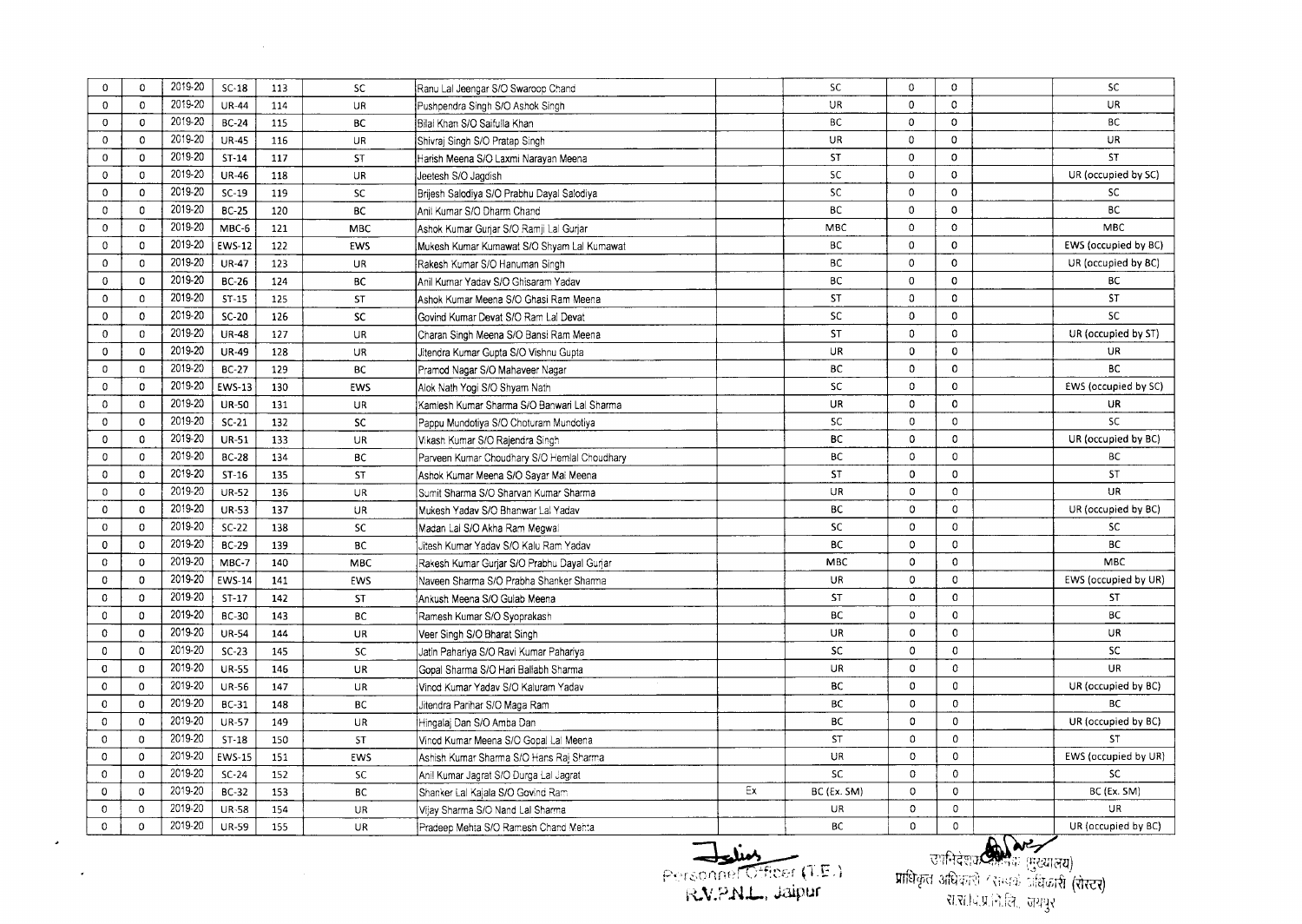| $\mathbf 0$  | $\mathbf 0$  | 2019-20 | $SC-18$       | 113 | <b>SC</b>  | Ranu Lal Jeengar S/O Swaroop Chand           |    | SC          | 0             | 0            | <b>SC</b>            |
|--------------|--------------|---------|---------------|-----|------------|----------------------------------------------|----|-------------|---------------|--------------|----------------------|
| $\mathbf 0$  | $\mathbf 0$  | 2019-20 | <b>UR-44</b>  | 114 | UR         | Pushpendra Singh S/O Ashok Singh             |    | <b>UR</b>   | $\Omega$      | $\mathbf 0$  | UR                   |
| 0            | $\mathbf 0$  | 2019-20 | <b>BC-24</b>  | 115 | BC         | Bilai Khan S/O Saifulla Khan                 |    | ВC          | 0             | 0            | <b>BC</b>            |
| $\mathbf 0$  | $\circ$      | 2019-20 | <b>UR-45</b>  | 116 | <b>UR</b>  | Shivrai Singh S/O Pratap Singh               |    | UR          | $\mathbf 0$   | $\mathbf 0$  | UR                   |
| 0            | $\mathbf 0$  | 2019-20 | $ST-14$       | 117 | ST         | Harish Meena S/O Laxmi Narayan Meena         |    | <b>ST</b>   | $\mathbf 0$   | 0            | ST                   |
| $\mathbf 0$  | $\mathbf 0$  | 2019-20 | <b>UR-46</b>  | 118 | UR.        | Jeetesh S/O Jagdish                          |    | <b>SC</b>   | $\mathbf 0$   | $\mathbf 0$  | UR (occupied by SC)  |
| $\mathbf 0$  | $\mathbf 0$  | 2019-20 | $SC-19$       | 119 | SC         | Brijesh Salodiya S/O Prabhu Dayal Salodiya   |    | <b>SC</b>   | 0             | $\mathbf 0$  | SC                   |
| 0            | $\mathbf 0$  | 2019-20 | <b>BC-25</b>  | 120 | BC         | Anil Kumar S/O Dharm Chand                   |    | ВC          | $\Omega$      | $\mathbf{0}$ | ВC                   |
| $\mathbf{0}$ | $\mathbf 0$  | 2019-20 | MBC-6         | 121 | <b>MBC</b> | Ashok Kumar Gurjar S/O Ramji Lal Gurjar      |    | <b>MBC</b>  | $\Omega$      | $\circ$      | <b>MBC</b>           |
| 0            | $\mathbf 0$  | 2019-20 | <b>EWS-12</b> | 122 | EWS        | Mukesh Kumar Kumawat S/O Shyam Lal Kumawat   |    | BC          | 0             | $\mathbf 0$  | EWS (occupied by BC) |
| $\Omega$     | $\mathbf 0$  | 2019-20 | <b>UR-47</b>  | 123 | <b>UR</b>  | Rakesh Kumar S/O Hanuman Singh               |    | BC          | $\circ$       | $\mathbf 0$  | UR (occupied by BC)  |
| $\mathbf 0$  | $^{\circ}$   | 2019-20 | <b>BC-26</b>  | 124 | <b>BC</b>  | Anil Kumar Yadav S/O Ghisaram Yadav          |    | BC          | $\Omega$      | $\mathbf 0$  | BC                   |
| $\mathbf{0}$ | $\mathbf{0}$ | 2019-20 | $ST-15$       | 125 | <b>ST</b>  | Ashok Kumar Meena S/O Ghasi Ram Meena        |    | <b>ST</b>   | $\circ$       | $\mathbf{0}$ | <b>ST</b>            |
| $\mathbf 0$  | $\mathbf 0$  | 2019-20 | $SC-20$       | 126 | <b>SC</b>  | Govind Kumar Devat S/O Ram Lal Devat         |    | <b>SC</b>   | $\mathbf{o}$  | $\mathbf 0$  | <b>SC</b>            |
| 0            | $\mathbf 0$  | 2019-20 | <b>UR-48</b>  | 127 | UR         | Charan Singh Meena S/O Bansi Ram Meena       |    | <b>ST</b>   | $\mathbf 0$   | 0            | UR (occupied by ST)  |
| 0            | $\mathbf 0$  | 2019-20 | <b>UR-49</b>  | 128 | <b>UR</b>  | Jitendra Kumar Gupta S/O Vishnu Gupta        |    | UR          | $\mathbf{0}$  | $\mathbf 0$  | UR                   |
| 0            | $\mathbf 0$  | 2019-20 | <b>BC-27</b>  | 129 | <b>BC</b>  | Pramod Nagar S/O Mahaveer Nagar              |    | <b>BC</b>   | $\mathbf 0$   | 0            | BC                   |
| 0            | $\mathbf 0$  | 2019-20 | <b>EWS-13</b> | 130 | EWS        | Alok Nath Yogi S/O Shyam Nath                |    | SC          | $\Omega$      | $\Omega$     | EWS (occupied by SC) |
| $\Omega$     | $\mathbf 0$  | 2019-20 | <b>UR-50</b>  | 131 | UR         | Kamlesh Kumar Sharma S/O Banwari Lal Sharma  |    | UR          | $\mathbf 0$   | $\mathbf 0$  | <b>UR</b>            |
| 0            | $\mathbf 0$  | 2019-20 | $SC-21$       | 132 | <b>SC</b>  | Pappu Mundotiya S/O Choturam Mundotiya       |    | <b>SC</b>   | $\mathbf 0$   | 0            | <b>SC</b>            |
| $\mathbf{0}$ | $\mathbf 0$  | 2019-20 | <b>UR-51</b>  | 133 | <b>UR</b>  | Vikash Kumar S/O Rajendra Singh              |    | BC          | $\mathbf 0$   | 0            | UR (occupied by BC)  |
| 0            | $\mathbf 0$  | 2019-20 | <b>BC-28</b>  | 134 | BC         | Parveen Kumar Choudhary S/O Hemlal Choudhary |    | BC          | $\mathbf 0$   | 0            | BC                   |
| 0            | $\mathbf 0$  | 2019-20 | $ST-16$       | 135 | <b>ST</b>  | Ashok Kumar Meena S/O Sayar Mai Meena        |    | ST          | $\mathbf 0$   | 0            | ST                   |
| 0            | $\mathbf 0$  | 2019-20 | UR-52         | 136 | <b>UR</b>  | Sumit Sharma S/O Sharvan Kumar Sharma        |    | UR          | $\mathbf 0$   | $\circ$      | UR                   |
| 0            | $\mathbf 0$  | 2019-20 | <b>UR-53</b>  | 137 | UR         | Mukesh Yadav S/O Bhanwar Lal Yadav           |    | BC          | $\mathbf 0$   | $\circ$      | UR (occupied by BC)  |
| 0            | $\mathbf 0$  | 2019-20 | $SC-22$       | 138 | <b>SC</b>  | Madan Lai S/O Akha Ram Megwal                |    | <b>SC</b>   | $\mathbf 0$   | 0            | SC                   |
| 0            | $\mathbf 0$  | 2019-20 | <b>BC-29</b>  | 139 | BC         | Jitesh Kumar Yadav S/O Kalu Ram Yadav        |    | BC          | $\mathbf 0$   | 0            | BC                   |
| $\Omega$     | $\Omega$     | 2019-20 | MBC-7         | 140 | MBC        | Rakesh Kumar Gurjar S/O Prabhu Dayal Gurjar  |    | <b>MBC</b>  | $\mathbf 0$   | 0            | <b>MBC</b>           |
| $\Omega$     | $\mathbf 0$  | 2019-20 | <b>EWS-14</b> | 141 | EWS        | Naveen Sharma S/O Prabha Shanker Sharma      |    | <b>UR</b>   | $\mathbf 0$   | $\mathbf 0$  | EWS (occupied by UR) |
| $\mathbf 0$  | $\mathbf 0$  | 2019-20 | $ST-17$       | 142 | <b>ST</b>  | Ankush Meena S/O Gulab Meena                 |    | <b>ST</b>   | $\mathbf 0$   | $\Omega$     | <b>ST</b>            |
| $\mathbf{0}$ | $\mathbf{0}$ | 2019-20 | BC-30         | 143 | BC         | Ramesh Kumar S/O Syoprakash                  |    | BC          | $\mathbf 0$   | 0            | <b>BC</b>            |
| 0            | $\mathbf 0$  | 2019-20 | <b>UR-54</b>  | 144 | <b>UR</b>  | Veer Singh S/O Bharat Singh                  |    | UR.         | 0             | 0            | UR                   |
| $\mathbf 0$  | $\mathbf 0$  | 2019-20 | $SC-23$       | 145 | SC         | Jatin Pahariya S/O Ravi Kumar Pahariya       |    | <b>SC</b>   | $\mathbf 0$   | 0            | SC                   |
| 0            | $\mathbf 0$  | 2019-20 | <b>UR-55</b>  | 146 | UR         | Gopal Sharma S/O Hari Ballabh Sharma         |    | UR          | $\mathbf 0$   | 0            | UR                   |
| $\circ$      | $\mathbf 0$  | 2019-20 | <b>UR-56</b>  | 147 | UR         | Vinod Kumar Yadav S/O Kaluram Yadav          |    | <b>BC</b>   | 0             | 0            | UR (occupied by BC)  |
| $\mathbf 0$  | $\mathbf 0$  | 2019-20 | <b>BC-31</b>  | 148 | BC         | Jitendra Parihar S/O Maga Ram                |    | ВC          | $\mathbf 0$   | $\mathbf{O}$ | BC                   |
| $\mathbf 0$  | $\mathbf 0$  | 2019-20 | <b>UR-57</b>  | 149 | UR         | Hingalaj Dan S/O Amba Dan                    |    | <b>BC</b>   | $\mathbf 0$   | 0            | UR (occupied by BC)  |
| $\mathbf 0$  | $\mathbf 0$  | 2019-20 | $ST-18$       | 150 | ST         | Vinod Kumar Meena S/O Gopal Lal Meena        |    | ST          | $\mathfrak o$ | $\mathbf 0$  | <b>ST</b>            |
| $\Omega$     | $\mathbf 0$  | 2019-20 | EWS-15        | 151 | EWS        | Ashish Kumar Sharma S/O Hans Raj Sharma      |    | UR          | $\mathbf 0$   | $\circ$      | EWS (occupied by UR) |
| $\mathbf{0}$ | $\mathbf 0$  | 2019-20 | $SC-24$       | 152 | <b>SC</b>  | Anil Kumar Jagrat S/O Durga Lal Jagrat       |    | <b>SC</b>   | $\mathbf 0$   | $\mathbf 0$  | <b>SC</b>            |
| $\mathbf 0$  | $\mathbf 0$  | 2019-20 | <b>BC-32</b>  | 153 | ВC         | Shanker Lal Kajala S/O Govind Ram            | Ex | BC (Ex. SM) | $\mathbf 0$   | $\circ$      | BC (Ex. SM)          |
| $\mathbf 0$  | $\Omega$     | 2019-20 | <b>UR-58</b>  | 154 | UR         | Vijay Sharma S/O Nand Lal Sharma             |    | UR.         | $\circ$       | $\circ$      | UR.                  |
| 0            | $\mathbf{0}$ | 2019-20 | <b>UR-59</b>  | 155 | UR.        | Pradeep Mehta S/O Ramesh Chand Mehta         |    | <b>BC</b>   | $\mathbf{0}$  | 0            | UR (occupied by BC)  |

 $\mathcal{L}^{\mathcal{L}}(\mathbf{z})$  and  $\mathcal{L}^{\mathcal{L}}(\mathbf{z})$  and  $\mathcal{L}^{\mathcal{L}}(\mathbf{z})$ 

Personner Officer (T.E.) **I-t.'i.P .N.L.., J;J.ipur**

 $\frac{1}{\sqrt{2}}$  is  $\frac{1}{\sqrt{2}}$  if  $\frac{1}{\sqrt{2}}$  is  $\frac{1}{\sqrt{2}}$  . The  $\frac{1}{\sqrt{2}}$   $\frac{1}{\sqrt{2}}$  is  $\frac{1}{\sqrt{2}}$  if  $\frac{1}{\sqrt{2}}$  if  $\frac{1}{\sqrt{2}}$  if  $\frac{1}{\sqrt{2}}$  if  $\frac{1}{\sqrt{2}}$  if  $\frac{1}{\sqrt{2}}$  if  $\frac{1}{\sqrt{2}}$  if  $\frac{1}{\sqrt{2}}$  i प्राधिकृत अधिकारी (सन्धक) प्रक्रिका<mark>री (रो</mark> रा.रा.lव.प्र.नि.लि., जयपुर |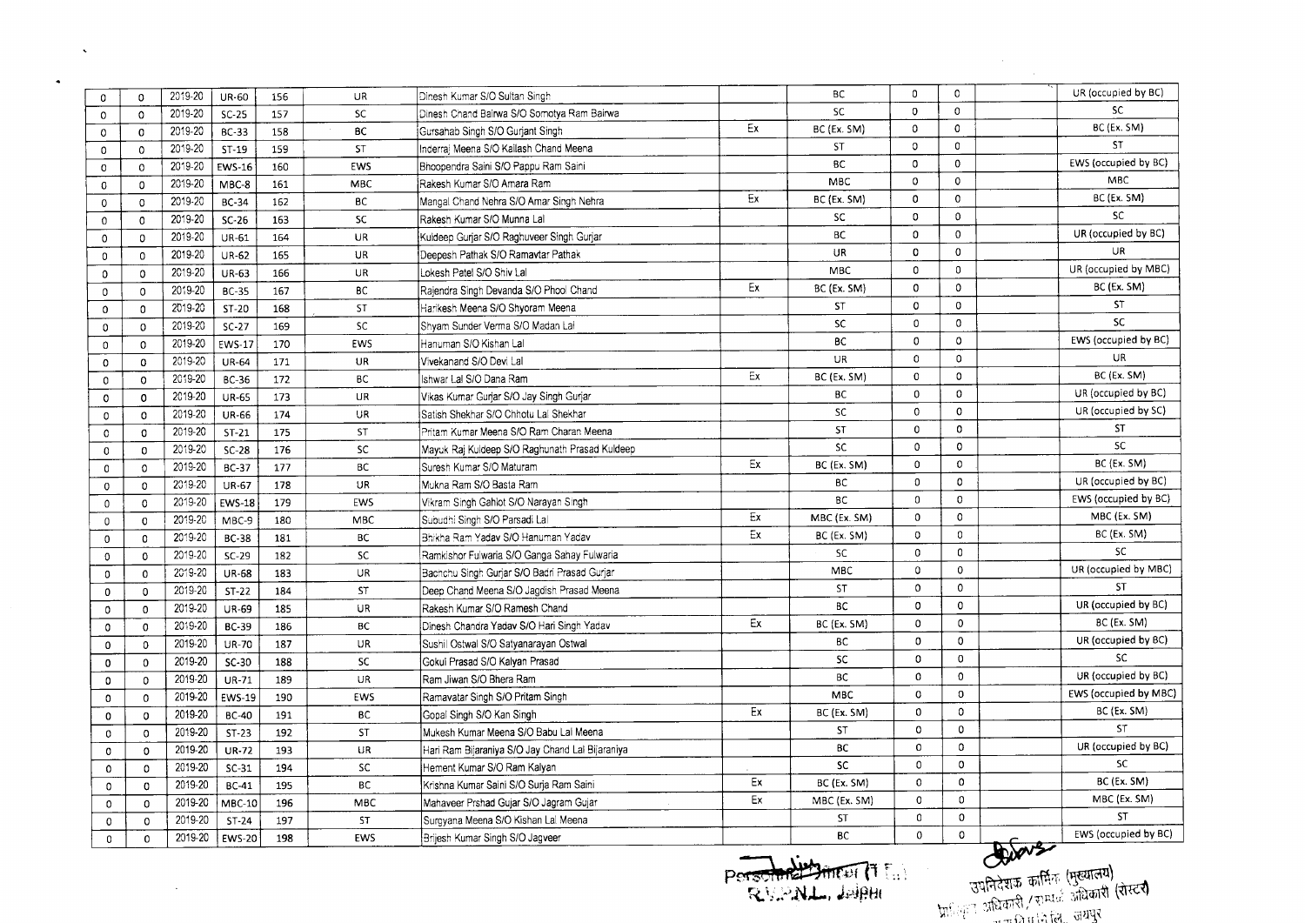| 0              | $\Omega$       | 2019-20 | <b>UR-60</b>  | 156 | UR         | Dinesh Kumar S/O Sultan Singh                    |    | ВC           | 0            | $\Omega$     |                  | UR (occupied by BC)   |
|----------------|----------------|---------|---------------|-----|------------|--------------------------------------------------|----|--------------|--------------|--------------|------------------|-----------------------|
| $\Omega$       | $\Omega$       | 2019-20 | $SC-25$       | 157 | <b>SC</b>  | Dinesh Chand Bairwa S/O Somotya Ram Bairwa       |    | SC           | 0            | $\mathbf 0$  |                  | <b>SC</b>             |
| 0              | $\mathbf{0}$   | 2019-20 | <b>BC-33</b>  | 158 | <b>BC</b>  | Gursahab Singh S/O Gurjant Singh                 | Ex | BC (Ex. SM)  | $\mathbf 0$  | $\Omega$     |                  | BC (Ex. SM)           |
| 0              | $\mathbf 0$    | 2019-20 | $ST-19$       | 159 | ST         | Inderrai Meena S/O Kailash Chand Meena           |    | ST           | 0            | 0            |                  | <b>ST</b>             |
| $\mathbf 0$    | $\Omega$       | 2019-20 | <b>EWS-16</b> | 160 | EWS        | Bhoopendra Saini S/O Pappu Ram Saini             |    | <b>BC</b>    | 0            | $\mathbf 0$  |                  | EWS (occupied by BC)  |
| 0              | $\mathbf 0$    | 2019-20 | MBC-8         | 161 | MBC        | Rakesh Kumar S/O Amara Ram                       |    | <b>MBC</b>   | 0            | $\Omega$     |                  | <b>MBC</b>            |
| $\circ$        | $\mathbf 0$    | 2019-20 | <b>BC-34</b>  | 162 | <b>BC</b>  | Mangal Chand Nehra S/O Amar Singh Nehra          | Ex | BC (Ex. SM)  | 0            | $\mathbf 0$  |                  | BC (Ex. SM)           |
| $\mathbf{0}$   | $\mathbf{0}$   | 2019-20 | $SC-26$       | 163 | <b>SC</b>  | Rakesh Kumar S/O Munna Lal                       |    | <b>SC</b>    | 0            | $\mathbf{0}$ |                  | SC                    |
| $\circ$        | 0              | 2019-20 | UR-61         | 164 | UR         | Kuldeep Gurjar S/O Raghuveer Singh Gurjar        |    | <b>BC</b>    | $\mathbf 0$  | $\Omega$     |                  | UR (occupied by BC)   |
| $\mathbf 0$    | $\Omega$       | 2019-20 | <b>UR-62</b>  | 165 | UR         | Deepesh Pathak S/O Ramavtar Pathak               |    | UR           | 0            | $\Omega$     |                  | <b>UR</b>             |
| $\mathbf 0$    | $\mathbf{0}$   | 2019-20 | <b>UR-63</b>  | 166 | UR         | Lokesh Patel S/O Shiv Lal                        |    | <b>MBC</b>   | 0            | $\mathbf 0$  |                  | UR (occupied by MBC)  |
| $\mathbf 0$    | $\mathbf 0$    | 2019-20 | <b>BC-35</b>  | 167 | <b>BC</b>  | Raiendra Singh Devanda S/O Phool Chand           | Ex | BC (Ex. SM)  | $\mathbf 0$  | $\Omega$     |                  | BC (Ex. SM)           |
| $\mathbf 0$    | 0              | 2019-20 | ST-20         | 168 | <b>ST</b>  | Harikesh Meena S/O Shyoram Meena                 |    | ST           | 0            | $\Omega$     |                  | <b>ST</b>             |
| $\mathbf 0$    | $\Omega$       | 2019-20 | $SC-27$       | 169 | <b>SC</b>  | Shvam Sunder Verma S/O Madan Lal                 |    | <b>SC</b>    | $\mathbf 0$  | $\mathbf{0}$ |                  | <b>SC</b>             |
| $\mathsf{o}\,$ | $\circ$        | 2019-20 | <b>EWS-17</b> | 170 | EWS        | Hanuman S/O Kishan Lal                           |    | <b>BC</b>    | $\mathbf 0$  | $\circ$      |                  | EWS (occupied by BC)  |
| $\mathbf 0$    | $\mathbf 0$    | 2019-20 | <b>UR-64</b>  | 171 | UR         | Vivekanand S/O Devi Lal                          |    | UR           | 0            | $\mathbf 0$  |                  | <b>UR</b>             |
| $\mathbf{0}$   | $\Omega$       | 2019-20 | <b>BC-36</b>  | 172 | BC         | Ishwar Lal S/O Dana Ram                          | Ex | BC (Ex. SM)  | $\mathbf 0$  | 0            |                  | BC (Ex. SM)           |
| $\circ$        | $\mathbf{o}$   | 2019-20 | <b>UR-65</b>  | 173 | UR         | Vikas Kumar Gurjar S/O Jay Singh Gurjar          |    | <b>BC</b>    | 0            | 0            |                  | UR (occupied by BC)   |
| 0              | $\mathbf 0$    | 2019-20 | <b>UR-66</b>  | 174 | <b>UR</b>  | Satish Shekhar S/O Chhotu Lal Shekhar            |    | SC           | $\mathbf 0$  | $\mathbf 0$  |                  | UR (occupied by SC)   |
| $\mathbf{O}$   | $\mathbf 0$    | 2019-20 | $ST-21$       | 175 | <b>ST</b>  | Pritam Kumar Meena S/O Ram Charan Meena          |    | ST           | $\mathbf 0$  | $\mathbf 0$  |                  | ST                    |
| $\mathbf 0$    | $\mathbf{o}$   | 2019-20 | $SC-28$       | 176 | SC         | Mayuk Raj Kuideep S/O Raghunath Prasad Kuldeep   |    | SC           | $\Omega$     | $\mathbf 0$  |                  | SC                    |
| 0              | 0              | 2019-20 | BC-37         | 177 | <b>BC</b>  | Suresh Kumar S/O Maturam                         | Ex | BC (Ex. SM)  | $\circ$      | 0            |                  | BC (Ex. SM)           |
| $\mathbf 0$    | $\Omega$       | 2019-20 | <b>UR-67</b>  | 178 | UR.        | Mukna Ram S/O Basta Ram                          |    | ВC           | $\mathbf 0$  | 0            |                  | UR (occupied by BC)   |
| 0              | $\mathbf 0$    | 2019-20 | <b>EWS-18</b> | 179 | <b>EWS</b> | Vikram Singh Gahlot S/O Narayan Singh            |    | <b>BC</b>    | $\mathbf 0$  | $\Omega$     |                  | EWS (occupied by BC)  |
| $\mathfrak o$  | $\Omega$       | 2019-20 | MBC-9         | 180 | <b>MBC</b> | Subudhi Singh S/O Parsadi Lal                    | Ex | MBC (Ex. SM) | $\mathbf 0$  | $\circ$      |                  | MBC (Ex. SM)          |
| 0              | $\mathbf{0}$   | 2019-20 | <b>BC-38</b>  | 181 | BC         | Bhikha Ram Yadav S/O Hanuman Yadav               | Εx | BC (Ex. SM)  | $\mathbf 0$  | $\circ$      |                  | BC (Ex. SM)           |
| $\circ$        | $\mathbf 0$    | 2019-20 | $SC-29$       | 182 | SC         | Ramkishor Fulwaria S/O Ganga Sahay Fulwaria      |    | SC           | $\mathbf 0$  | $\Omega$     |                  | <b>SC</b>             |
| 0              | $\mathbf 0$    | 2019-20 | <b>UR-68</b>  | 183 | UR         | Bachchu Singh Guriar S/O Badri Prasad Guriar     |    | MBC          | $\mathbf 0$  | $\mathbf{0}$ |                  | UR (occupied by MBC)  |
| 0              | $\mathbf 0$    | 2019-20 | $ST-22$       | 184 | ST         | Deep Chand Meena S/O Jagdish Prasad Meena        |    | <b>ST</b>    | $\mathbf{0}$ | $\circ$      |                  | <b>ST</b>             |
| 0              | $\circ$        | 2019-20 | <b>UR-69</b>  | 185 | UR         | Rakesh Kumar S/O Ramesh Chand                    |    | <b>BC</b>    | $\mathbf 0$  | $\mathbf 0$  |                  | UR (occupied by BC)   |
| 0              | $\mathbf{0}$   | 2019-20 | BC-39         | 186 | BC         | Dinesh Chandra Yadav S/O Hari Singh Yadav        | Ex | BC (Ex. SM)  | 0            | $\Omega$     |                  | BC (Ex. SM)           |
| $\Omega$       | $\mathbf{0}$   | 2019-20 | <b>UR-70</b>  | 187 | UR         | Sushil Ostwal S/O Satyanarayan Ostwal            |    | ВC           | 0            | 0            |                  | UR (occupied by BC)   |
| 0              | $\mathbf 0$    | 2019-20 | $SC-30$       | 188 | <b>SC</b>  | Gokul Prasad S/O Kalyan Prasad                   |    | SC           | $\mathbf 0$  | 0            |                  | <b>SC</b>             |
| 0              | $\mathbf 0$    | 2019-20 | UR-71         | 189 | UR         | Ram Jiwan S/O Bhera Ram                          |    | <b>BC</b>    | $\mathbf 0$  | $\mathbf 0$  |                  | UR (occupied by BC)   |
| $\mathbf 0$    | $\mathbf 0$    | 2019-20 | <b>EWS-19</b> | 190 | EWS        | Ramavatar Singh S/O Pritam Singh                 |    | <b>MBC</b>   | $\Omega$     | $\Omega$     |                  | EWS (occupied by MBC) |
| $\mathbf 0$    | $^{\circ}$     | 2019-20 | <b>BC-40</b>  | 191 | <b>BC</b>  | Gopal Singh S/O Kan Singh                        | Ex | BC (Ex. SM)  | 0            | $\circ$      |                  | BC (Ex. SM)           |
| $\mathbf 0$    | $\Omega$       | 2019-20 | $ST-23$       | 192 | ST         | Mukesh Kumar Meena S/O Babu Lai Meena            |    | <b>ST</b>    | $\Omega$     | $\mathbf 0$  |                  | ST                    |
| $\circ$        | $\Omega$       | 2019-20 | <b>UR-72</b>  | 193 | <b>UR</b>  | Hari Ram Bijaraniya S/O Jay Chand Lal Bijaraniya |    | BC           | $\mathbf 0$  | $\Omega$     |                  | UR (occupied by BC)   |
| $\mathbf 0$    | $\circ$        | 2019-20 | $SC-31$       | 194 | SC         | Hement Kumar S/O Ram Kalyan                      |    | SC           | $^{\circ}$   | $\mathbf 0$  |                  | <b>SC</b>             |
| $\mathbf{0}$   | $\mathbf 0$    | 2019-20 | <b>BC-41</b>  | 195 | BC         | Krishna Kumar Saini S/O Suria Ram Saini          | Ex | BC (Ex. SM)  | 0            | $\mathbf 0$  |                  | BC (Ex. SM)           |
| $\Omega$       | $\mathbf 0$    | 2019-20 | MBC-10        | 196 | MBC        | Mahaveer Prshad Gujar S/O Jagram Gujar           | Ex | MBC (Ex. SM) | 0            | $\mathbf 0$  |                  | MBC (Ex. SM)          |
| 0              | $\mathsf{o}\,$ | 2019-20 | $ST-24$       | 197 | <b>ST</b>  | Surgyana Meena S/O Kishan Lal Meena              |    | <b>ST</b>    | 0            | $\mathbf 0$  |                  | ST                    |
| 0              | $\mathbf 0$    | 2019-20 | <b>EWS-20</b> | 198 | EWS        | Brijesh Kumar Singh S/O Jagveer                  |    | <b>BC</b>    | $\Omega$     | $\mathbf 0$  | <b>D. G. A.Z</b> | EWS (occupied by BC)  |

 $\sim 100$  km s

 $\mathcal{L}^{\mathcal{L}}$  and  $\mathcal{L}^{\mathcal{L}}$  and  $\mathcal{L}^{\mathcal{L}}$ 

 $\langle \bullet \rangle$ 

 $\frac{1}{2}$ .

 $\mathsf{C}$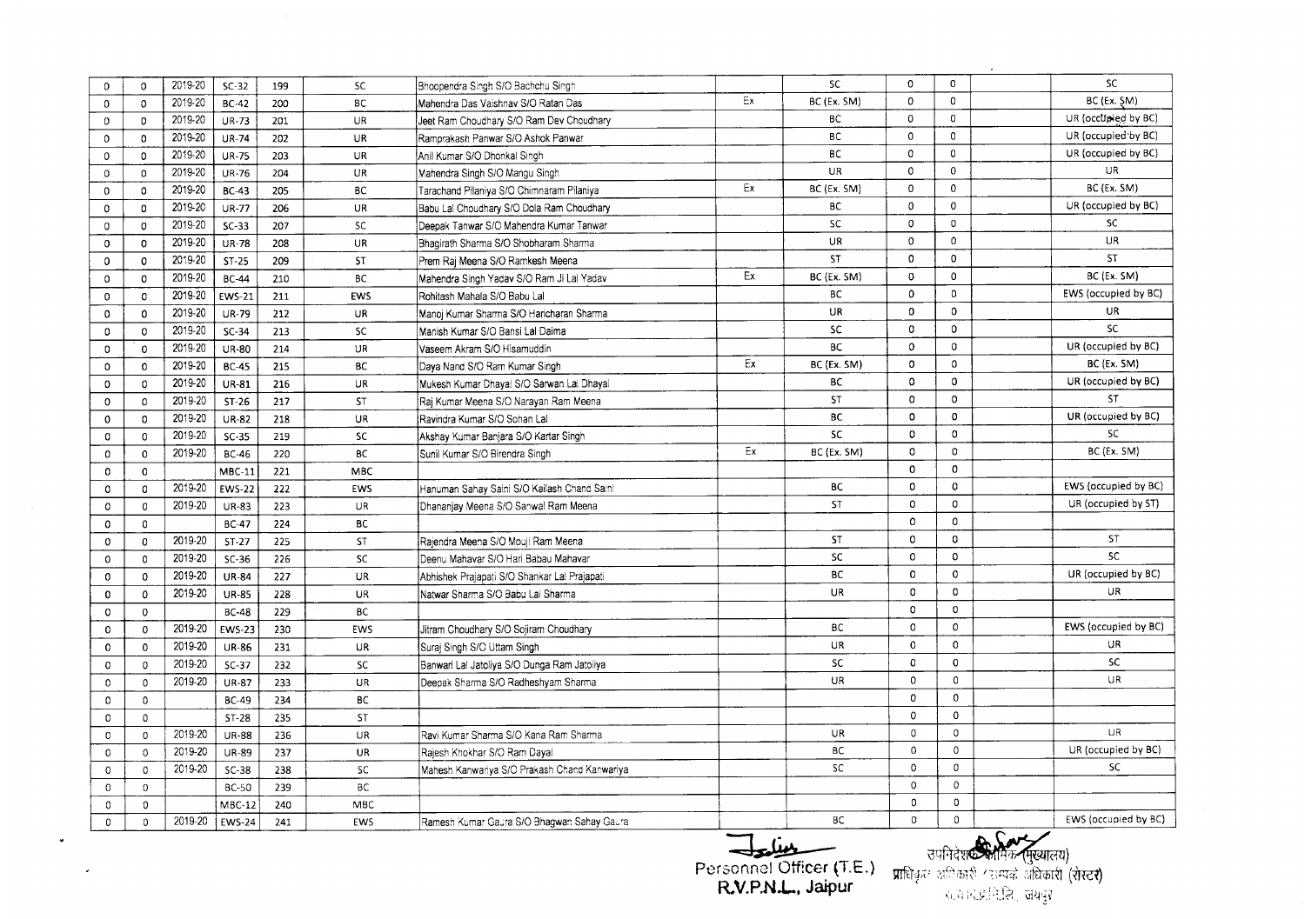| $\Omega$      | $\Omega$      | 2019-20 | $SC-32$       | 199 | SC         | Bhoopendra Singh S/O Bachchu Singh           |        | SC.         | 0            | $\mathbf 0$  | SC                   |
|---------------|---------------|---------|---------------|-----|------------|----------------------------------------------|--------|-------------|--------------|--------------|----------------------|
| $\Omega$      | $\Omega$      | 2019-20 | <b>BC-42</b>  | 200 | <b>BC</b>  | Mahendra Das Vaishnav S/O Ratan Das          | Ex     | BC (Ex. SM) | $\mathbf{0}$ | $\mathbf 0$  | BC (Ex. SM)          |
| $\mathbf{0}$  | $\Omega$      | 2019-20 | <b>UR-73</b>  | 201 | UR.        | Jeet Ram Choudhary S/O Ram Dev Choudhary     |        | ВC          | $\mathbf 0$  | $\mathbf 0$  | UR (occupied by BC)  |
| $\mathbf{0}$  | $\Omega$      | 2019-20 | <b>UR-74</b>  | 202 | UR         | Ramprakash Panwar S/O Ashok Panwar           |        | вc          | 0            | $\Omega$     | UR (occupied by BC)  |
| $\mathbf{0}$  | $\mathbf{0}$  | 2019-20 | <b>UR-75</b>  | 203 | <b>UR</b>  | Anil Kumar S/O Dhonkal Singh                 |        | <b>BC</b>   | $\mathbf 0$  | $\Omega$     | UR (occupied by BC)  |
| $\Omega$      | $\Omega$      | 2019-20 | <b>UR-76</b>  | 204 | <b>UR</b>  | Mahendra Singh S/O Mangu Singh               |        | UR          | $\circ$      | $\Omega$     | UR                   |
| 0             | $\Omega$      | 2019-20 | <b>BC-43</b>  | 205 | ВC         | Tarachand Pilaniya S/O Chimnaram Pilaniya    | Ex     | BC (Ex. SM) | $\mathbf 0$  | $\Omega$     | BC (Ex. SM)          |
| $\mathbf 0$   | $\Omega$      | 2019-20 | <b>UR-77</b>  | 206 | UR         | Babu Lal Choudhary S/O Dola Ram Choudhary    |        | ВC          | $\mathbf 0$  | $\mathbf 0$  | UR (occupied by BC)  |
| $\circ$       | $\mathbf 0$   | 2019-20 | $SC-33$       | 207 | <b>SC</b>  | Deepak Tanwar S/O Mahendra Kumar Tanwar      |        | <b>SC</b>   | $\mathbf 0$  | $\mathbf 0$  | SC                   |
| 0             | $\mathbf{0}$  | 2019-20 | <b>UR-78</b>  | 208 | UR         | Bhagirath Sharma S/O Shobharam Sharma        |        | UR.         | $\mathbf 0$  | $\Omega$     | UR                   |
| $\mathbf 0$   | $\mathbf{0}$  | 2019-20 | $ST-25$       | 209 | ST         | Prem Raj Meena S/O Ramkesh Meena             |        | ST          | $\mathbf{0}$ | 0            | <b>ST</b>            |
| 0             | $\mathbf{0}$  | 2019-20 | <b>BC-44</b>  | 210 | BC         | Mahendra Singh Yadav S/O Ram Ji Lal Yadav    | Ex     | BC (Ex. SM) | $\mathbf 0$  | 0            | BC (Ex. SM)          |
| 0             | $\mathbf{0}$  | 2019-20 | <b>EWS-21</b> | 211 | EWS        | Rohitash Mahala S/O Babu Lal                 |        | ВC          | 0            | $\mathbf{0}$ | EWS (occupied by BC) |
| $\mathbf 0$   | $\mathbf 0$   | 2019-20 | <b>UR-79</b>  | 212 | UR         | Manoi Kumar Sharma S/O Haricharan Sharma     |        | <b>UR</b>   | $\Omega$     | $\Omega$     | <b>UR</b>            |
| $\mathbf 0$   | $\mathbf 0$   | 2019-20 | $SC-34$       | 213 | <b>SC</b>  | Manish Kumar S/O Bansi Lal Daima             |        | <b>SC</b>   | $\mathbf 0$  | $\mathbf{0}$ | <b>SC</b>            |
| $\mathbf 0$   | $\Omega$      | 2019-20 | <b>UR-80</b>  | 214 | UR         | Vaseem Akram S/O Hisamuddin                  |        | ВC          | $\mathbf 0$  | 0            | UR (occupied by BC)  |
| $\mathbf 0$   | $\mathbf{0}$  | 2019-20 | <b>BC-45</b>  | 215 | <b>BC</b>  | Daya Nand S/O Ram Kumar Singh                | Ex     | BC (Ex. SM) | $\mathbf 0$  | $\Omega$     | BC (Ex. SM)          |
| $\Omega$      | $\Omega$      | 2019-20 | <b>UR-81</b>  | 216 | UR         | Mukesh Kumar Dhayal S/O Sarwan Lal Dhayal    |        | BC          | 0            | $\mathbf 0$  | UR (occupied by BC)  |
| $\mathbf 0$   | $\Omega$      | 2019-20 | $ST-26$       | 217 | <b>ST</b>  | Raj Kumar Meena S/O Narayan Ram Meena        |        | <b>ST</b>   | 0            | 0            | ST                   |
| $\mathbf 0$   | $\Omega$      | 2019-20 | <b>UR-82</b>  | 218 | <b>UR</b>  | Ravindra Kumar S/O Sohan Lal                 |        | BC          | 0            | $\mathbf 0$  | UR (occupied by BC)  |
| $\mathbf 0$   | $\Omega$      | 2019-20 | $SC-35$       | 219 | <b>SC</b>  | Akshay Kumar Banjara S/O Kartar Singh        |        | <b>SC</b>   | 0            | $\mathbf 0$  | SC.                  |
| $\mathbf{0}$  | $\Omega$      | 2019-20 | <b>BC-46</b>  | 220 | <b>BC</b>  | Sunil Kumar S/O Birendra Singh               | Εx     | BC (Ex. SM) | 0            | $\mathbf 0$  | BC (Ex. SM)          |
| $\mathbf{0}$  | $\mathbf{0}$  |         | $MBC-11$      | 221 | MBC        |                                              |        |             | 0            | $\mathbf{0}$ |                      |
| $\mathbf{0}$  | $\Omega$      | 2019-20 | <b>EWS-22</b> | 222 | EWS        | Hanuman Sahay Saini S/O Kailash Chand Saini  |        | BC          | 0            | $\mathbf 0$  | EWS (occupied by BC) |
| 0             | $\mathbf{0}$  | 2019-20 | <b>UR-83</b>  | 223 | UR         | Dhananjay Meena S/O Sanwal Ram Meena         |        | ST          | 0            | $\mathbf 0$  | UR (occupied by ST)  |
| $\mathbf 0$   | $\mathbf{0}$  |         | <b>BC-47</b>  | 224 | <b>BC</b>  |                                              |        |             | $\Omega$     | $\mathbf 0$  |                      |
| $\Omega$      | $\Omega$      | 2019-20 | $ST-27$       | 225 | <b>ST</b>  | Rajendra Meena S/O Mouji Ram Meena           |        | <b>ST</b>   | 0            | $\mathbf{0}$ | ST                   |
| $\mathbf 0$   | $\Omega$      | 2019-20 | $SC-36$       | 226 | <b>SC</b>  | Deenu Mahavar S/O Hari Babau Mahavar         |        | SC          | $\mathbf 0$  | $\mathbf 0$  | <b>SC</b>            |
| 0             | $\Omega$      | 2019-20 | <b>UR-84</b>  | 227 | UR         | Abhishek Prajapati S/O Shankar Lal Prajapati |        | <b>BC</b>   | 0            | $\mathbf 0$  | UR (occupied by BC)  |
| 0             | 0             | 2019-20 | <b>UR-85</b>  | 228 | UR         | Natwar Sharma S/O Babu Lai Sharma            |        | UR          | 0            | $\Omega$     | UR.                  |
| $\mathbf 0$   | 0             |         | <b>BC-48</b>  | 229 | BC         |                                              |        |             | $\circ$      | $\Omega$     |                      |
| $\mathbf 0$   | $\mathbf 0$   | 2019-20 | <b>EWS-23</b> | 230 | EWS        | Jitram Choudhary S/O Sojiram Choudhary       |        | <b>BC</b>   | $\Omega$     | $\mathbf 0$  | EWS (occupied by BC) |
| 0             | 0             | 2019-20 | <b>UR-86</b>  | 231 | UR         | Suraj Singh S/O Uttam Singh                  |        | UR.         | 0            | $\mathbf 0$  | UR.                  |
| $\mathbf 0$   | $\mathbf{0}$  | 2019-20 | $SC-37$       | 232 | SC         | Banwari Lal Jatoliya S/O Dunga Ram Jatoliya  |        | <b>SC</b>   | 0            | $\mathbf 0$  | <b>SC</b>            |
| $\mathbf 0$   | $\circ$       | 2019-20 | <b>UR-87</b>  | 233 | UR         | Deepak Sharma S/O Radheshyam Sharma          |        | <b>UR</b>   | 0            | $\Omega$     | <b>UR</b>            |
| $\mathbf 0$   | 0             |         | <b>BC-49</b>  | 234 | BC         |                                              |        |             | $\Omega$     | $\Omega$     |                      |
| $\mathfrak o$ | $\mathfrak o$ |         | $ST-28$       | 235 | <b>ST</b>  |                                              |        |             | $\Omega$     | $\mathbf 0$  |                      |
| $\mathbf 0$   | $\mathbf 0$   | 2019-20 | <b>UR-88</b>  | 236 | <b>UR</b>  | Ravi Kumar Sharma S/O Kana Ram Sharma        |        | <b>UR</b>   | $\mathsf{O}$ | $\circ$      | <b>UR</b>            |
| $\circ$       | $\circ$       | 2019-20 | <b>UR-89</b>  | 237 | UR         | Raiesh Khokhar S/O Ram Dayal                 |        | ВC          | 0            | $\Omega$     | UR (occupied by BC)  |
| $\Omega$      | $\circ$       | 2019-20 | $SC-38$       | 238 | SC         | Mahesh Kanwariya S/O Prakash Chand Kanwariya |        | SC          | 0            | $\Omega$     | <b>SC</b>            |
| $\Omega$      | $\circ$       |         | <b>BC-50</b>  | 239 | <b>BC</b>  |                                              |        |             | 0            | $\mathbf{0}$ |                      |
| 0             | 0             |         | $MBC-12$      | 240 | <b>MBC</b> |                                              |        |             | $\mathbf 0$  | $\mathbf 0$  |                      |
| 0             | $\Omega$      | 2019-20 | <b>EWS-24</b> | 241 | EWS        | Ramesh Kumar Gaura S/O Bhagwan Sahay Gaura   |        | <b>BC</b>   | 0            | $\Omega$     | EWS (occupied by BC) |
|               |               |         |               |     |            |                                              | $\sim$ |             |              |              | $\sim$ C $\sim$ X    |

 $\omega$ 

 $\mathcal{L}^{\pm}$ 

~ **Personnel** Officer **(T.E.) R.V.P.N.L..** Jaipur

उपनिदेश**्क्रियानिक (मुख्यालय)**<br>प्राधिकृतः अधिकारी (राम्पर्क अधिकारी (रोस्टर)<br>- अत्याद्यानिक्रि, जयवुर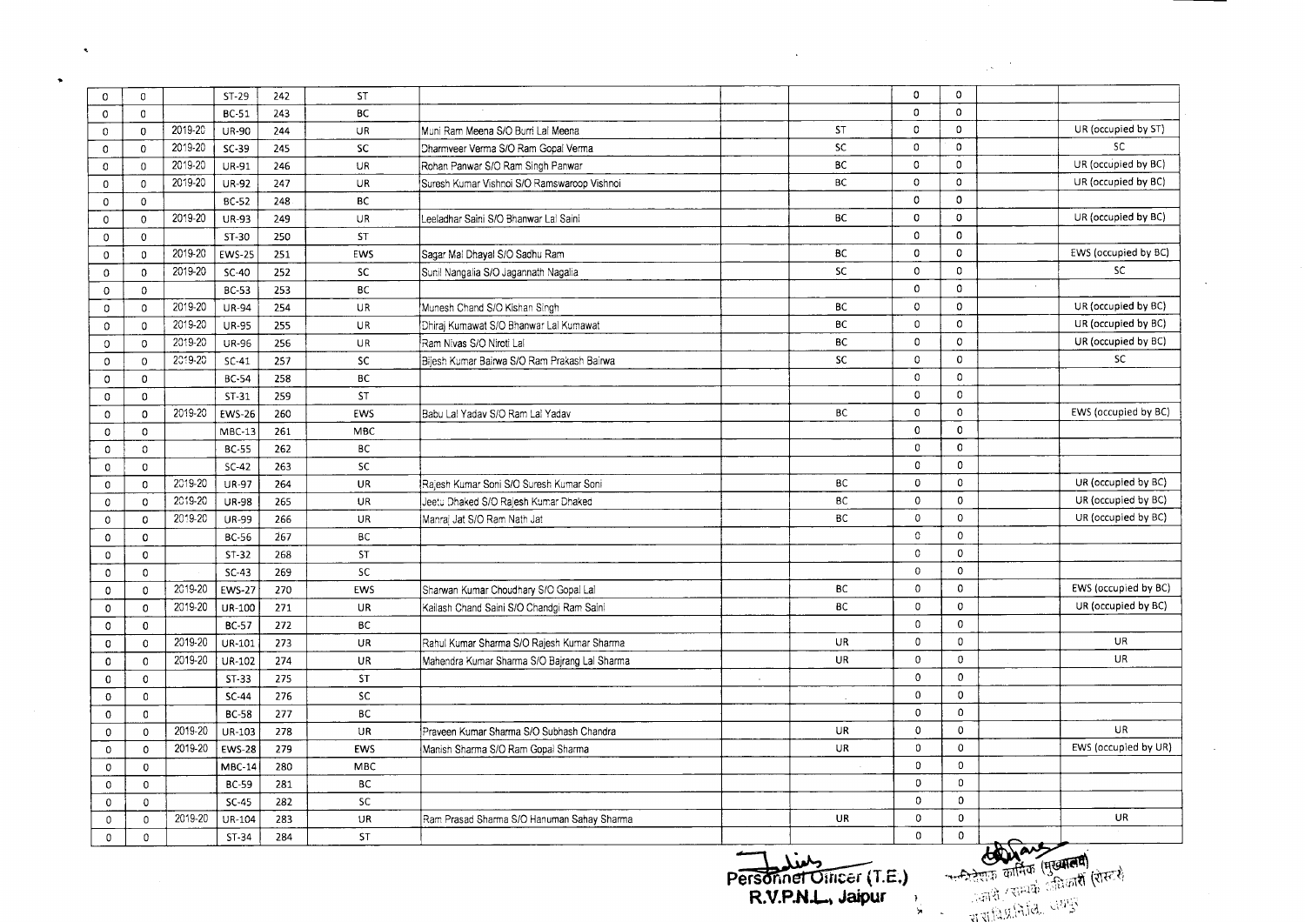|              |              |         |               |     |            |                                              |                                                |             |              | $\mathcal{L}^{(0)}$                                                                                     |
|--------------|--------------|---------|---------------|-----|------------|----------------------------------------------|------------------------------------------------|-------------|--------------|---------------------------------------------------------------------------------------------------------|
| 0            | $\mathbf 0$  |         | $ST-29$       | 242 | <b>ST</b>  |                                              |                                                | $\mathbf 0$ | $\mathbf 0$  |                                                                                                         |
| $\mathbf 0$  | $\mathbf{0}$ |         | <b>BC-51</b>  | 243 | <b>BC</b>  |                                              |                                                | 0           | $\mathbf 0$  |                                                                                                         |
| 0            | $\mathbf 0$  | 2019-20 | UR-90         | 244 | UR         | Muni Ram Meena S/O Burri Lal Meena           | <b>ST</b>                                      | 0           | 0            | UR (occupied by ST)                                                                                     |
| $\mathbf 0$  | $\mathbf{0}$ | 2019-20 | $SC-39$       | 245 | <b>SC</b>  | Dharmveer Verma S/O Ram Gopal Verma          | <b>SC</b>                                      | 0           | 0            | SC.                                                                                                     |
| $\circ$      | $\mathbf 0$  | 2019-20 | UR-91         | 246 | UR         | Rohan Panwar S/O Ram Singh Panwar            | BC                                             | 0           | $\mathbf{0}$ | UR (occupied by BC)                                                                                     |
| $\mathbf 0$  | 0            | 2019-20 | <b>UR-92</b>  | 247 | UR         | Suresh Kumar Vishnoi S/O Ramswaroop Vishnoi  | <b>BC</b>                                      | 0           | $\mathbf 0$  | UR (occupied by BC)                                                                                     |
| $\mathbf 0$  | $\mathbf 0$  |         | <b>BC-52</b>  | 248 | BC         |                                              |                                                | 0           | $\mathbf 0$  |                                                                                                         |
| $\circ$      | $\mathbf 0$  | 2019-20 | <b>UR-93</b>  | 249 | <b>UR</b>  | Leeladhar Saini S/O Bhanwar Lai Saini        | BC                                             | 0           | 0            | UR (occupied by BC)                                                                                     |
| $\mathbf 0$  | $\mathbf{0}$ |         | ST-30         | 250 | <b>ST</b>  |                                              |                                                | 0           | 0            |                                                                                                         |
| $\mathbf 0$  | 0            | 2019-20 | <b>EWS-25</b> | 251 | EWS        | Sagar Mal Dhayal S/O Sadhu Ram               | ВC                                             | 0           | $\circ$      | EWS (occupied by BC)                                                                                    |
| $\mathbf 0$  | 0            | 2019-20 | $SC-40$       | 252 | <b>SC</b>  | Sunil Nangalia S/O Jagannath Nagalia         | <b>SC</b>                                      | 0           | 0            | <b>SC</b>                                                                                               |
| $\circ$      | 0            |         | <b>BC-53</b>  | 253 | ВC         |                                              |                                                | 0           | $\mathbf{0}$ |                                                                                                         |
| 0            | 0            | 2019-20 | <b>UR-94</b>  | 254 | UR         | Munesh Chand S/O Kishan Singh                | BC                                             | 0           | $\Omega$     | UR (occupied by BC)                                                                                     |
| 0            | 0            | 2019-20 | <b>UR-95</b>  | 255 | UR         | Dhiraj Kumawat S/O Bhanwar Lal Kumawat       | BС                                             | 0           | $\circ$      | UR (occupied by BC)                                                                                     |
| $\circ$      | $\mathbf{0}$ | 2019-20 | <b>UR-96</b>  | 256 | <b>UR</b>  | Ram Nivas S/O Niroti La!                     | BС                                             | 0           | $\circ$      | UR (occupied by BC)                                                                                     |
| $\circ$      | 0            | 2019-20 | $SC-41$       | 257 | SC         | Bijesh Kumar Bairwa S/O Ram Prakash Bairwa   | <b>SC</b>                                      | 0           | $\mathbf 0$  | SC.                                                                                                     |
| $\circ$      | $\mathbf 0$  |         | <b>BC-54</b>  | 258 | BC         |                                              |                                                | 0           | $\mathbf 0$  |                                                                                                         |
| 0            | 0            |         | $ST-31$       | 259 | <b>ST</b>  |                                              |                                                | 0           | $\mathbf 0$  |                                                                                                         |
| 0            | $\mathbf 0$  | 2019-20 | <b>EWS-26</b> | 260 | <b>EWS</b> | Babu Lal Yadav S/O Ram Lal Yadav             | BC                                             | $\circ$     | $\mathbf 0$  | EWS (occupied by BC)                                                                                    |
| 0            | $\circ$      |         | $MBC-13$      | 261 | MBC        |                                              |                                                | $\mathbf 0$ | $\mathbf{0}$ |                                                                                                         |
| $\mathbf{0}$ | 0            |         | BC-55         | 262 | BC         |                                              |                                                | 0           | $\Omega$     |                                                                                                         |
| 0            | $\mathbf 0$  |         | $SC-42$       | 263 | SC.        |                                              |                                                | 0           | $\mathbf 0$  |                                                                                                         |
| 0            | 0            | 2019-20 | <b>UR-97</b>  | 264 | <b>UR</b>  | Rajesh Kumar Soni S/O Suresh Kumar Soni      | BC                                             | 0           | $\mathbf 0$  | UR (occupied by BC)                                                                                     |
| 0            | 0            | 2019-20 | <b>UR-98</b>  | 265 | <b>UR</b>  | Jeetu Dhaked S/O Rajesh Kumar Dhaked         | <b>BC</b>                                      | 0           | $\mathbf 0$  | UR (occupied by BC)                                                                                     |
| $\mathbf 0$  | 0            | 2019-20 | <b>UR-99</b>  | 266 | UR         | Manraj Jat S/O Ram Nath Jat                  | BC                                             | 0           | $\circ$      | UR (occupied by BC)                                                                                     |
| $\circ$      | 0            |         | <b>BC-56</b>  | 267 | <b>BC</b>  |                                              |                                                | 0           | $\mathbf{0}$ |                                                                                                         |
| 0            | 0            |         | $ST-32$       | 268 | <b>ST</b>  |                                              |                                                | $\circ$     | $\mathbf 0$  |                                                                                                         |
| 0            | 0            |         | $SC-43$       | 269 | <b>SC</b>  |                                              |                                                | $\mathbf 0$ | $\circ$      |                                                                                                         |
| 0            | 0            | 2019-20 | <b>EWS-27</b> | 270 | EWS        | Sharwan Kumar Choudhary S/O Gopal Lal        | BC                                             | 0           | $\mathbf 0$  | EWS (occupied by BC)                                                                                    |
| $\mathbf 0$  | $\mathbf 0$  | 2019-20 | UR-100        | 271 | <b>UR</b>  | Kailash Chand Saini S/O Chandgi Ram Saini    | BC                                             | 0           | 0            | UR (occupied by BC)                                                                                     |
| 0            | 0            |         | <b>BC-57</b>  | 272 | ВC         |                                              |                                                | 0           | $\mathbf 0$  |                                                                                                         |
| 0            | $\mathbf 0$  | 2019-20 | UR-101        | 273 | UR         | Rahul Kumar Sharma S/O Rajesh Kumar Sharma   | UR                                             | 0           | 0            | UR                                                                                                      |
| 0            | 0            | 2019-20 | UR-102        | 274 | <b>UR</b>  | Mahendra Kumar Sharma S/O Bajrang Lal Sharma | UR                                             | 0           | $\mathbf 0$  | UR                                                                                                      |
| 0            | $\mathbf 0$  |         | ST-33         | 275 | <b>ST</b>  |                                              | $\sim$                                         | $\circ$     | $\mathbf{0}$ |                                                                                                         |
| 0            | 0            |         | <b>SC-44</b>  | 276 | <b>SC</b>  |                                              |                                                | $\mathbf 0$ | 0            |                                                                                                         |
| $\mathbf 0$  | $\mathbf 0$  |         | <b>BC-58</b>  | 277 | ВC         |                                              |                                                | $\circ$     | 0            |                                                                                                         |
| 0            |              | 2019-20 | UR-103        | 278 | UR         | Praveen Kumar Sharma S/O Subhash Chandra     | UR                                             | 0           | 0            | UR                                                                                                      |
| 0            | 0<br>$\circ$ | 2019-20 | <b>EWS-28</b> | 279 | EWS        | Manish Sharma S/O Ram Gopal Sharma           | UR                                             | 0           | $\mathbf 0$  | EWS (occupied by UR)                                                                                    |
| 0            | $\mathbf 0$  |         | MBC-14        | 280 | MBC        |                                              |                                                | 0           | 0            |                                                                                                         |
| 0            | $\mathbf 0$  |         | BC-59         | 281 | BC         |                                              |                                                | 0           | 0            |                                                                                                         |
|              | $\mathbf 0$  |         | $SC-45$       | 282 | SC         |                                              |                                                | $\mathbf 0$ | $\mathbf 0$  |                                                                                                         |
| 0            | 0            | 2019-20 | UR-104        | 283 | UR         | Ram Prasad Sharma S/O Hanuman Sahay Sharma   | <b>UR</b>                                      | $\,0\,$     | $\mathbf 0$  | UR                                                                                                      |
| 0<br>0       | $\mathbf 0$  |         | $ST-34$       | 284 | <b>ST</b>  |                                              |                                                | $\mathbf 0$ | $\mathbf 0$  |                                                                                                         |
|              |              |         |               |     |            |                                              |                                                |             |              |                                                                                                         |
|              |              |         |               |     |            |                                              | Personnel Officer (T.E.)<br>R.V.P.N.L., Jaipur |             |              | <b>COLORADOR (REGENTER)</b><br>A CHARGE COLORADOR (REGENTER)<br>A CHARGE COLORADOR COLORADOR (REGENTER) |

 $\sim 10$ 

 $\sim 10^7$ 

 $\langle \infty \rangle$ 

 $\bullet$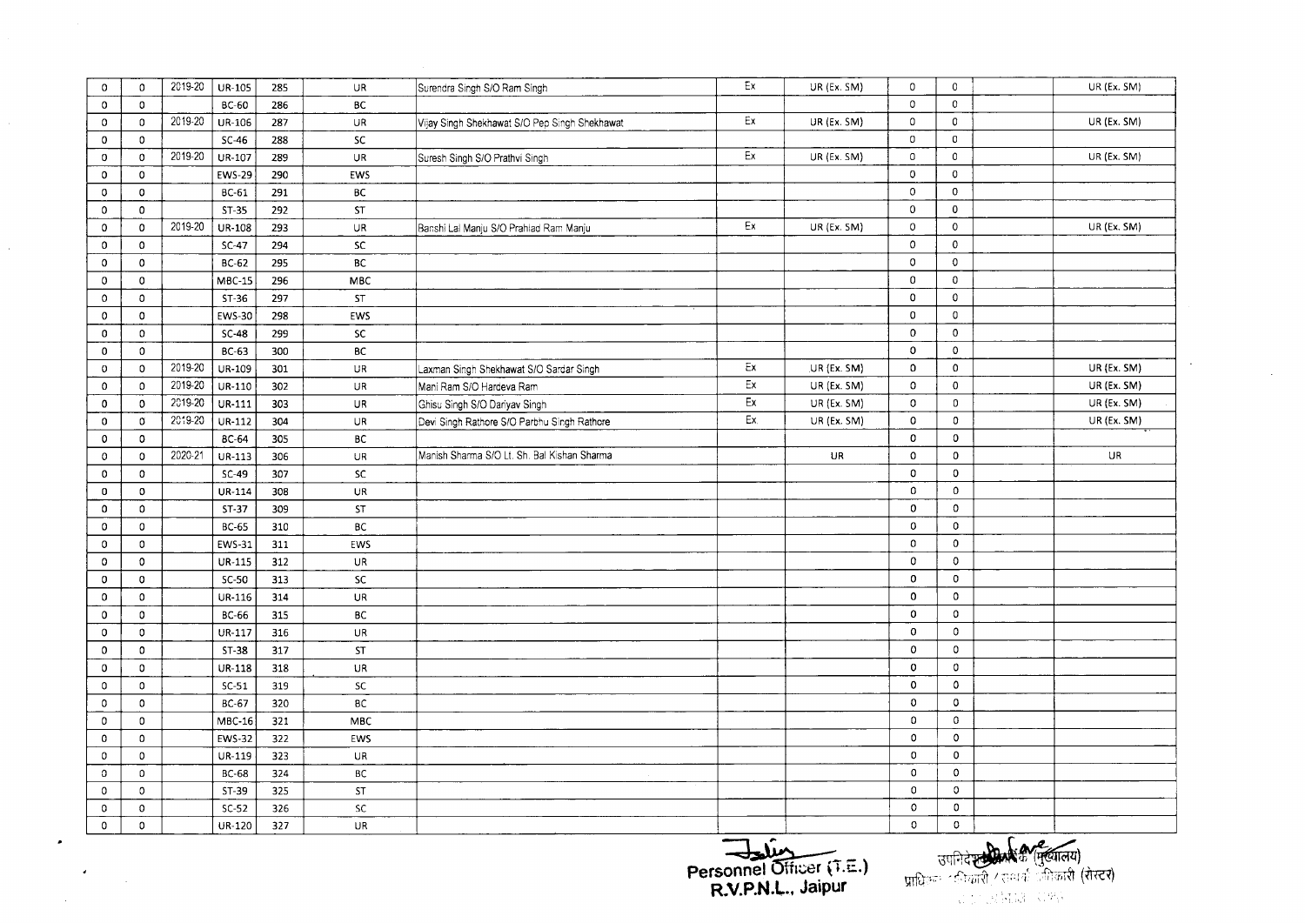| $\circ$        | $\mathbf{0}$  | 2019-20 | UR-105        | 285 | UR                                | Surendra Singh S/O Ram Singh                  | Ex  | UR (Ex. SM)   | $\mathbf 0$    | $\mathbf 0$    | UR (Ex. SM) |
|----------------|---------------|---------|---------------|-----|-----------------------------------|-----------------------------------------------|-----|---------------|----------------|----------------|-------------|
| $\mathbf 0$    | $\mathbf{0}$  |         | <b>BC-60</b>  | 286 | <b>BC</b>                         |                                               |     |               | $\mathbf 0$    | $\mathbf{0}$   |             |
| 0              | $\mathbf{0}$  | 2019-20 | <b>UR-106</b> | 287 | <b>UR</b>                         | Vijay Singh Shekhawat S/O Pep Singh Shekhawat | Ex  | UR (Ex. SM)   | $\mathbf 0$    | 0              | UR (Ex. SM) |
| $\mathbf{0}$   | $\mathbf{0}$  |         | $SC-46$       | 288 | <b>SC</b>                         |                                               |     |               | $\mathbf 0$    | $\mathbf 0$    |             |
| $\mathbf 0$    | $\mathbf 0$   | 2019-20 | UR-107        | 289 | $\overline{\cup}$ R               | Suresh Singh S/O Prathvi Singh                | Ex  | UR (Ex. SM)   | $\mathbb O$    | $\circ$        | UR (Ex. SM) |
| $\mathbf{0}$   | $\mathbf 0$   |         | <b>EWS-29</b> | 290 | EWS                               |                                               |     |               | $\mathbf 0$    | 0              |             |
| $\mathbf 0$    | $\mathbf 0$   |         | BC-61         | 291 | ВC                                |                                               |     |               | $\mathbf 0$    | $\mathbf 0$    |             |
| 0              | $\circ$       |         | $ST-35$       | 292 | ST                                |                                               |     |               | $\mathbf{0}$   | $\mathbf 0$    |             |
| $\mathbf{0}$   | $\mathbf 0$   | 2019-20 | <b>UR-108</b> | 293 | <b>UR</b>                         | Banshi Lai Manju S/O Prahlad Ram Manju        | Ex  | $UR$ (Ex. SM) | 0              | $\circ$        | UR (Ex. SM) |
| $\overline{0}$ | $\mathbf 0$   |         | $SC-47$       | 294 | <b>SC</b>                         |                                               |     |               | $\mathbf 0$    | $\mathbf 0$    |             |
| 0              | $\mathbf 0$   |         | BC-62         | 295 | BC                                |                                               |     |               | $\mathbf 0$    | $\mathbf 0$    |             |
| $\mathbf 0$    | $\mathbf 0$   |         | $MBC-15$      | 296 | <b>MBC</b>                        |                                               |     |               | $\mathbf 0$    | 0              |             |
| $\circ$        | $\mathbf 0$   |         | $ST-36$       | 297 | ST                                |                                               |     |               | $\mathbf 0$    | 0              |             |
| $\mathbf{0}$   | $\circ$       |         | EWS-30        | 298 | EWS                               |                                               |     |               | $\mathbf 0$    | $\mathbf 0$    |             |
| 0              | $\mathbf 0$   |         | $SC-48$       | 299 | $\overline{sc}$                   |                                               |     |               | $\mathbf 0$    | $\mathbf 0$    |             |
| $\mathbf 0$    | $\mathbf 0$   |         | BC-63         | 300 | BC                                |                                               |     |               | $\mathbf{o}$   | $\circ$        |             |
| $\mathbf{O}$   | $\Omega$      | 2019-20 | UR-109        | 301 | $\ensuremath{\mathsf{UR}}\xspace$ | Laxman Singh Shekhawat S/O Sardar Singh       | Ex  | UR (Ex. SM)   | $\mathbf{0}$   | $\mathbf 0$    | UR (Ex. SM) |
| $\mathbf 0$    | $\mathbf{0}$  | 2019-20 | $U$ R-110     | 302 | $\overline{UR}$                   | Mani Ram S/O Hardeva Ram                      | Ex  | UR (Ex. SM)   | 0              | $\mathbf 0$    | UR (Ex. SM) |
| $\mathbf 0$    | $\mathbf{0}$  | 2019-20 | UR-111        | 303 | <b>UR</b>                         | Ghisu Singh S/O Dariyav Singh                 | Ex  | UR (Ex. SM)   | $\mathsf{o}$   | $\mathsf{o}\,$ | UR (Ex. SM) |
| $\mathbf 0$    | σ             | 2019-20 | $UR-112$      | 304 | <b>UR</b>                         | Devi Singh Rathore S/O Parbhu Singh Rathore   | Ex. | UR (Ex. SM)   | 0              | $\mathbf 0$    | UR (Ex. SM) |
| $\mathbf 0$    | $\mathbf 0$   |         | <b>BC-64</b>  | 305 | BC                                |                                               |     |               | $\mathbf 0$    | $\mathbf 0$    |             |
| $\mathbf 0$    | $\mathbf{0}$  | 2020-21 | $UR-113$      | 306 | <b>UR</b>                         | Manish Sharma S/O Lt. Sh. Bal Kishan Sharma   |     | UR            | $\mathbf 0$    | $\mathbf 0$    | UR          |
| $\mathbf{0}$   | $\mathbf 0$   |         | $SC-49$       | 307 | <b>SC</b>                         |                                               |     |               | $\mathbf 0$    | $\mathbf 0$    |             |
| 0              | $\mathbf 0$   |         | UR-114        | 308 | UR.                               |                                               |     |               | 0              | $\mathbf{0}$   |             |
| $\mathbf 0$    | $\mathbf 0$   |         | ST-37         | 309 | ST                                |                                               |     |               | 0              | $\mathbf 0$    |             |
| $\mathbf 0$    | $\mathbf 0$   |         | <b>BC-65</b>  | 310 | <b>BC</b>                         |                                               |     |               | 0              | $\mathbf 0$    |             |
| $\mathbf 0$    | $\mathbf 0$   |         | EWS-31        | 311 | <b>EWS</b>                        |                                               |     |               | $\mathbf 0$    | $\mathbf 0$    |             |
| 0              | $\mathbf 0$   |         | UR-115        | 312 | UR                                |                                               |     |               | $\mathsf{o}\,$ | $\mathbf 0$    |             |
| 0              | 0             |         | $SC-50$       | 313 | SC                                |                                               |     |               | $\mathsf{o}$   | $\mathbf 0$    |             |
| $\Omega$       | $\mathbf{0}$  |         | UR-116        | 314 | <b>UR</b>                         |                                               |     |               | $\mathbf 0$    | $\mathbf{0}$   |             |
| $\Omega$       | $\mathfrak o$ |         | <b>BC-66</b>  | 315 | ВC                                |                                               |     |               | 0              | $\mathbf 0$    |             |
| 0              | $\mathbf{0}$  |         | UR-117        | 316 | UR                                |                                               |     |               | $\mathbf 0$    | 0              |             |
| $\mathbf 0$    | $\mathbf{0}$  |         | $ST-38$       | 317 | ST                                |                                               |     |               | $\mathbf 0$    | $\mathbf 0$    |             |
| 0              | 0             |         | UR-118        | 318 | UR                                |                                               |     |               | 0              | 0              |             |
| 0              | $\mathbf 0$   |         | $SC-51$       | 319 | <b>SC</b>                         |                                               |     |               | $\mathbf 0$    | 0              |             |
| $\mathbf 0$    | $\mathbf 0$   |         | BC-67         | 320 | $\sf BC$                          |                                               |     |               | 0              | 0              |             |
| $\mathbf{0}$   | $\mathbf{0}$  |         | MBC-16        | 321 | MBC                               |                                               |     |               | $\mathbf 0$    | $\Omega$       |             |
| $\mathbf 0$    | $\mathbf{0}$  |         | EWS-32        | 322 | EWS                               |                                               |     |               | $\mathbf 0$    | $\circ$        |             |
| $\mathbf 0$    | $\mathbf 0$   |         | UR-119        | 323 | UR                                |                                               |     |               | $\mathbf 0$    | $\mathbf 0$    |             |
| $\Omega$       | $\mathbf 0$   |         | <b>BC-68</b>  | 324 | ВC                                |                                               |     |               | $\mathbf 0$    | $\circ$        |             |
| $\mathbf 0$    | $\mathfrak o$ |         | $ST-39$       | 325 | ST                                |                                               |     |               | $\mathbb O$    | $\circ$        |             |
| $\mathbf 0$    | 0             |         | $SC-52$       | 326 | <b>SC</b>                         |                                               |     |               | $\mathsf{o}\,$ | $\mathbf{0}$   |             |
| $\mathbf 0$    | $\mathbf{0}$  |         | UR-120        | 327 | <b>UR</b>                         |                                               |     |               | $\mathbf 0$    | $\circ$        |             |

 $\Delta \phi$ 

 $\label{eq:2} \frac{d}{dt} \left( \frac{d}{dt} \right) = \frac{1}{2} \left( \frac{d}{dt} \right)$ 

 $\sim 10^{-1}$ 

Personnel Officer (T.E.)<br>R.V.P.N.L., Jaipur

उपनिदेश्ट्यीक्रिके (मुख्यालय)<br>प्राधिकाः दक्षिकारी / सम्पर्क जनिकारी (रोस्टर)<br>संस्कृति सम्पर्कतन्तुः

 $\mathcal{L}_{\text{max}}$